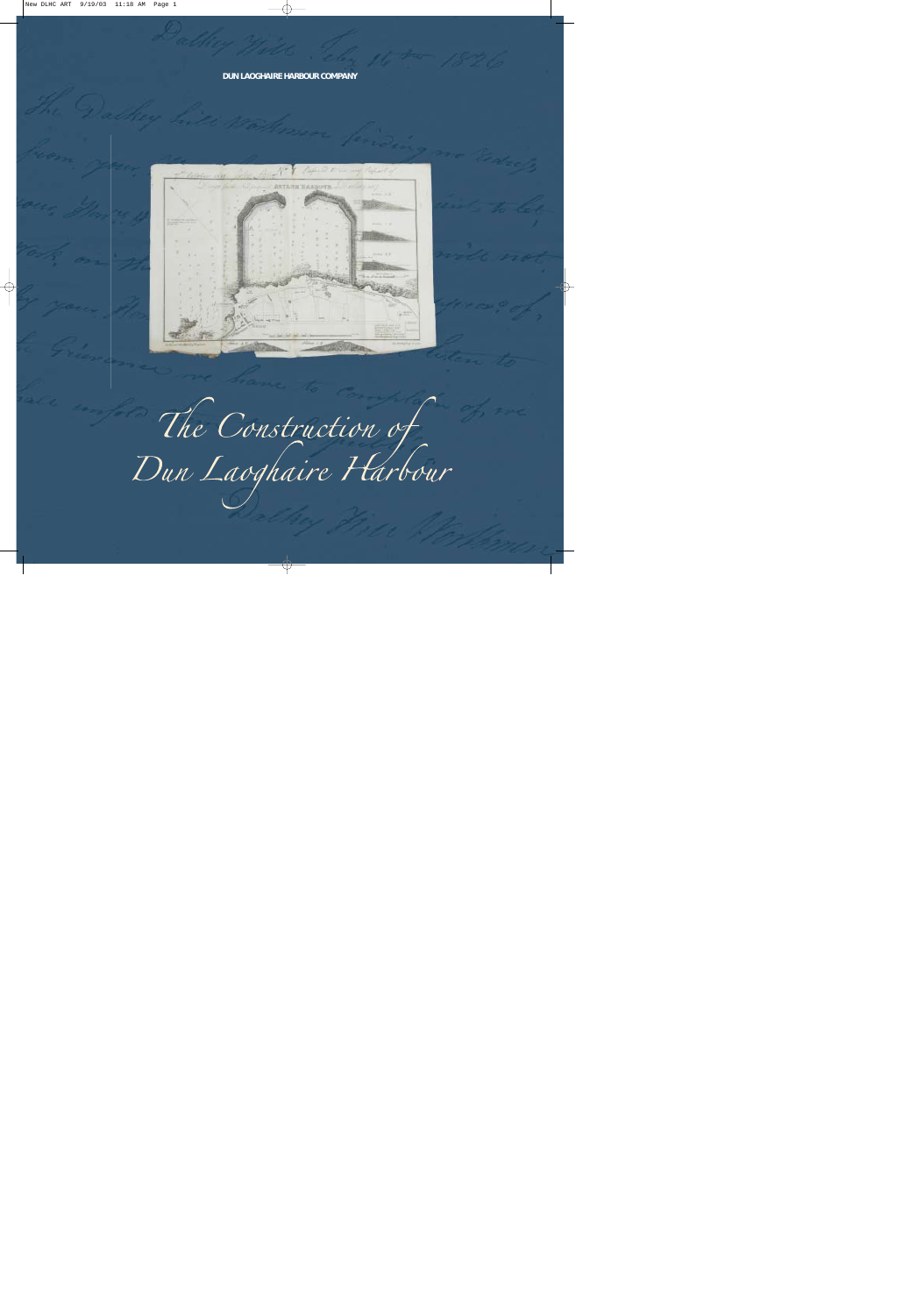#### **DUN LAOGHAIRE HARBOUR COMPANY**



The Construction of<br>Dun Laoghaire Harbour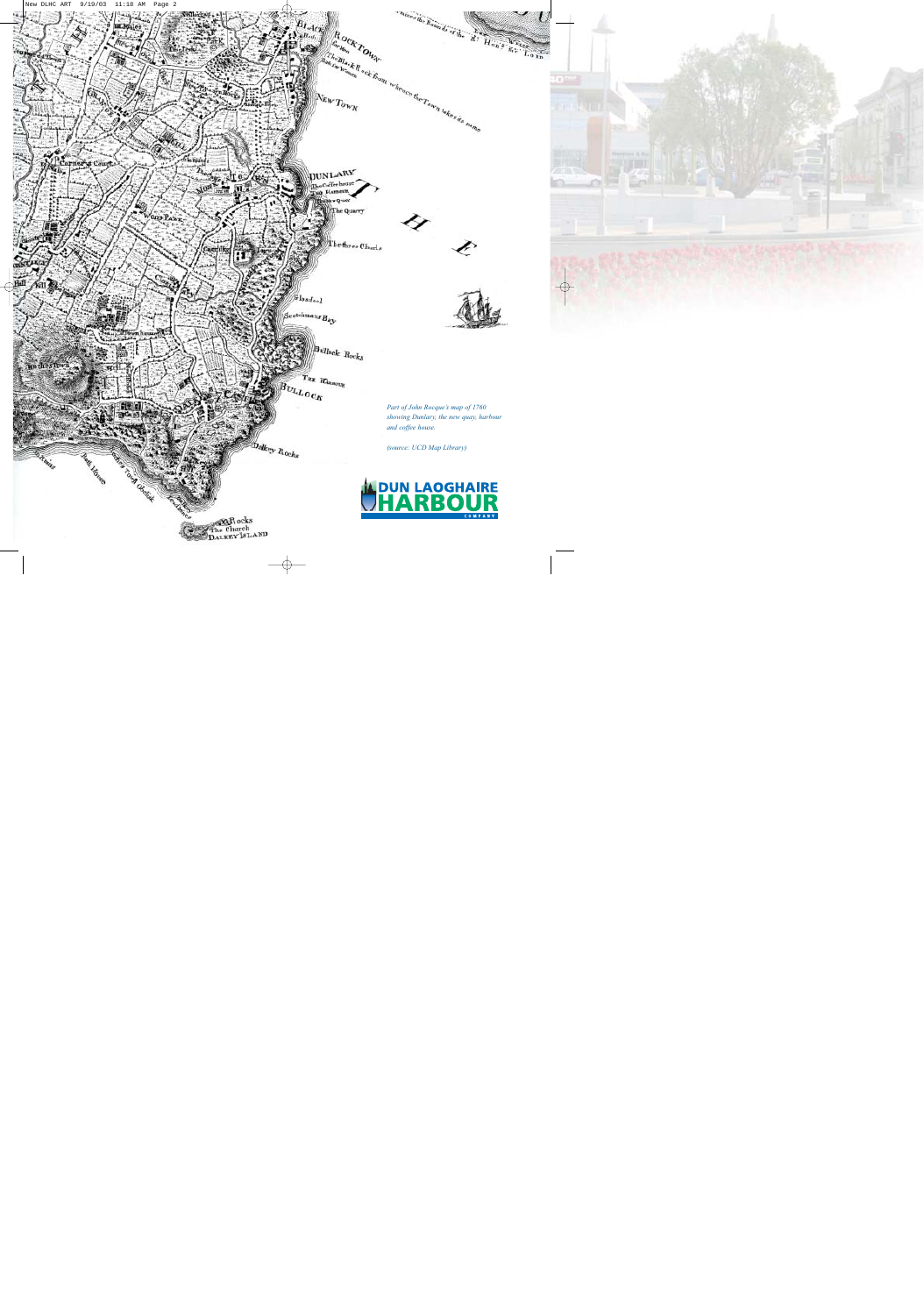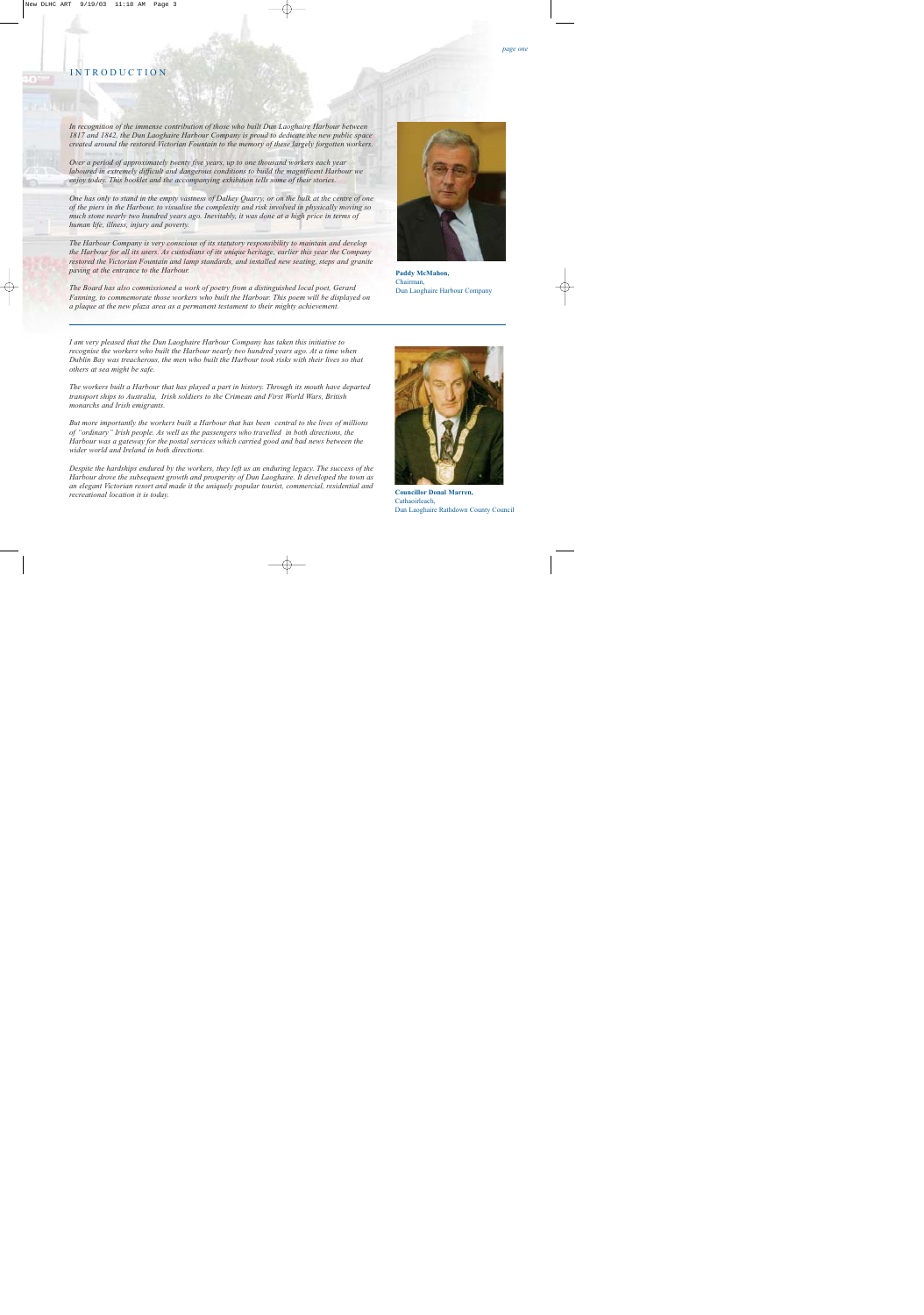#### INTRODUCTION

*In recognition of the immense contribution of those who built Dun Laoghaire Harbour between 1817 and 1842, the Dun Laoghaire Harbour Company is proud to dedicate the new public space created around the restored Victorian Fountain to the memory of these largely forgotten workers.*

*Over a period of approximately twenty five years, up to one thousand workers each year laboured in extremely difficult and dangerous conditions to build the magnificent Harbour we enjoy today. This booklet and the accompanying exhibition tells some of their stories.*

*One has only to stand in the empty vastness of Dalkey Quarry, or on the bulk at the centre of one of the piers in the Harbour, to visualise the complexity and risk involved in physically moving so much stone nearly two hundred years ago. Inevitably, it was done at a high price in terms of human life, illness, injury and poverty.* 

*The Harbour Company is very conscious of its statutory responsibility to maintain and develop the Harbour for all its users. As custodians of its unique heritage, earlier this year the Company restored the Victorian Fountain and lamp standards, and installed new seating, steps and granite paving at the entrance to the Harbour.*

*The Board has also commissioned a work of poetry from a distinguished local poet, Gerard Fanning, to commemorate those workers who built the Harbour. This poem will be displayed on a plaque at the new plaza area as a permanent testament to their mighty achievement.*

*I am very pleased that the Dun Laoghaire Harbour Company has taken this initiative to recognise the workers who built the Harbour nearly two hundred years ago. At a time when Dublin Bay was treacherous, the men who built the Harbour took risks with their lives so that others at sea might be safe.*

*The workers built a Harbour that has played a part in history. Through its mouth have departed transport ships to Australia, Irish soldiers to the Crimean and First World Wars, British monarchs and Irish emigrants.* 

*But more importantly the workers built a Harbour that has been central to the lives of millions of "ordinary" Irish people. As well as the passengers who travelled in both directions, the Harbour was a gateway for the postal services which carried good and bad news between the wider world and Ireland in both directions.* 

*Despite the hardships endured by the workers, they left us an enduring legacy. The success of the Harbour drove the subsequent growth and prosperity of Dun Laoghaire. It developed the town as an elegant Victorian resort and made it the uniquely popular tourist, commercial, residential and recreational location it is today.* 

**Councillor Donal Marren,**  Cathaoirleach, Dun Laoghaire Rathdown County Council





**Paddy McMahon,**  Chairman, Dun Laoghaire Harbour Company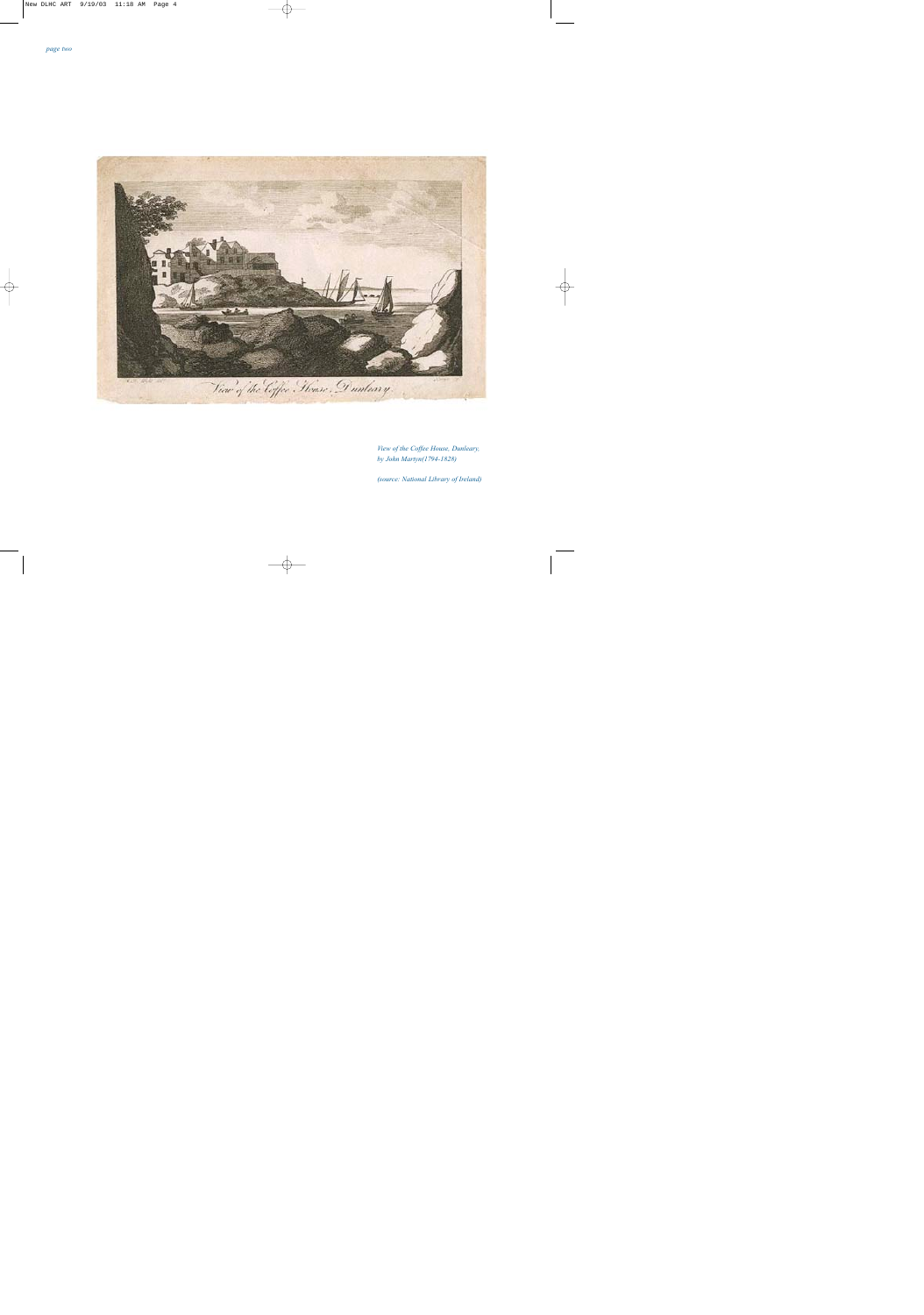

*View of the Coffee House, Dunleary, by John Martyn(1794-1828)*

*(source: National Library of Ireland)*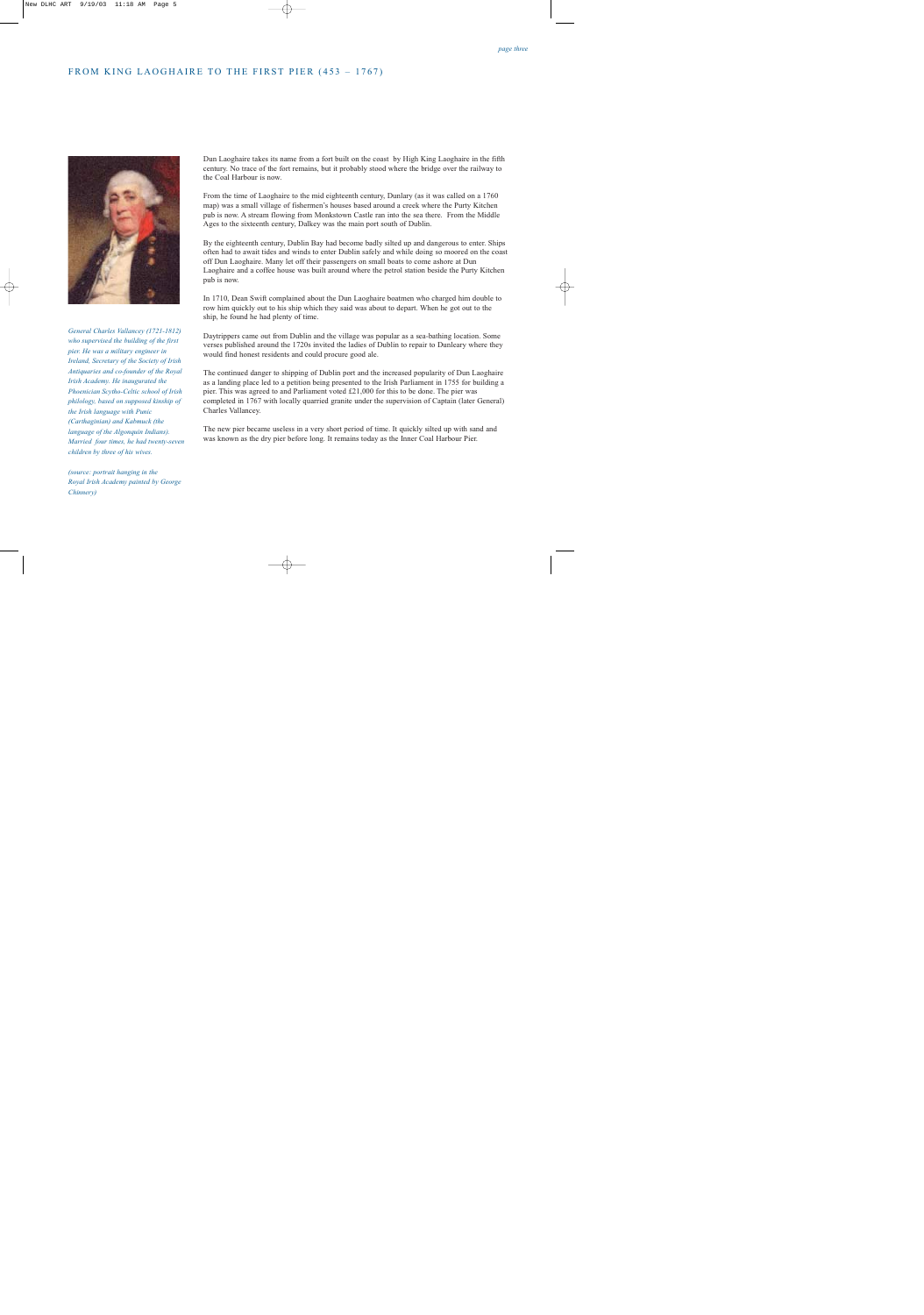## FROM KING LAOGHAIRE TO THE FIRST PIER (453 – 1767)



*General Charles Vallancey (1721-1812) who supervised the building of the first pier. He was a military engineer in Ireland, Secretary of the Society of Irish Antiquaries and co-founder of the Royal Irish Academy. He inaugurated the Phoenician Scytho-Celtic school of Irish philology, based on supposed kinship of the Irish language with Punic (Carthaginian) and Kabmuck (the language of the Algonquin Indians). Married four times, he had twenty-seven children by three of his wives.*

*(source: portrait hanging in the Royal Irish Academy painted by George Chinnery)* 

Dun Laoghaire takes its name from a fort built on the coast by High King Laoghaire in the fifth century. No trace of the fort remains, but it probably stood where the bridge over the railway to the Coal Harbour is now.

From the time of Laoghaire to the mid eighteenth century, Dunlary (as it was called on a 1760 map) was a small village of fishermen's houses based around a creek where the Purty Kitchen pub is now. A stream flowing from Monkstown Castle ran into the sea there. From the Middle Ages to the sixteenth century, Dalkey was the main port south of Dublin.

By the eighteenth century, Dublin Bay had become badly silted up and dangerous to enter. Ships often had to await tides and winds to enter Dublin safely and while doing so moored on the coast off Dun Laoghaire. Many let off their passengers on small boats to come ashore at Dun Laoghaire and a coffee house was built around where the petrol station beside the Purty Kitchen pub is now.

In 1710, Dean Swift complained about the Dun Laoghaire boatmen who charged him double to row him quickly out to his ship which they said was about to depart. When he got out to the ship, he found he had plenty of time.

Daytrippers came out from Dublin and the village was popular as a sea-bathing location. Some verses published around the 1720s invited the ladies of Dublin to repair to Dunleary where they would find honest residents and could procure good ale.

The continued danger to shipping of Dublin port and the increased popularity of Dun Laoghaire as a landing place led to a petition being presented to the Irish Parliament in 1755 for building a pier. This was agreed to and Parliament voted £21,000 for this to be done. The pier was completed in 1767 with locally quarried granite under the supervision of Captain (later General) Charles Vallancey.

The new pier became useless in a very short period of time. It quickly silted up with sand and was known as the dry pier before long. It remains today as the Inner Coal Harbour Pier.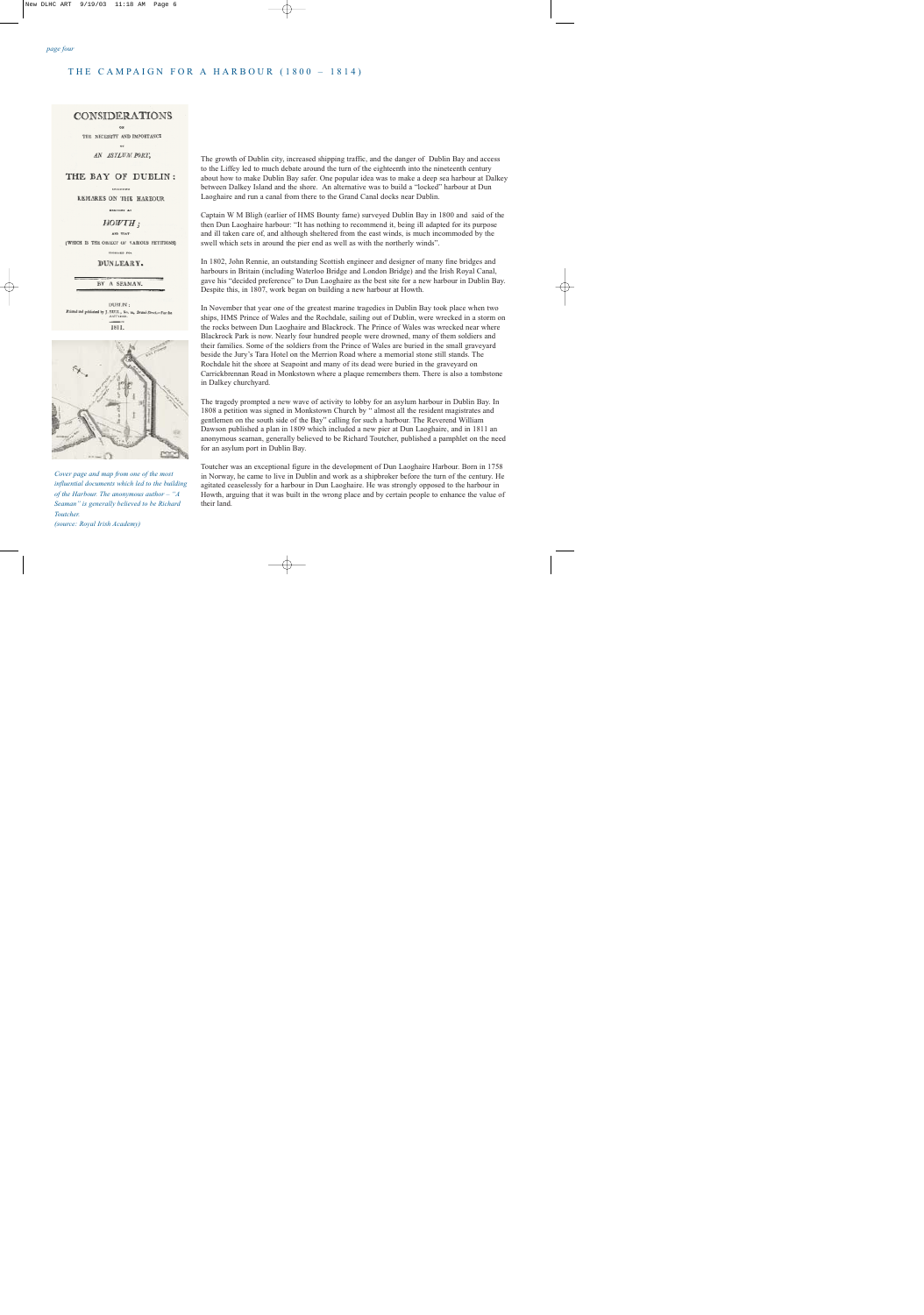### THE CAMPAIGN FOR A HARBOUR (1800 – 1814)

#### **CONSIDERATIONS**

THE NECESSITY AND IMPORTANCE

œ AN ASYLUM PORT,

#### THE BAY OF DUBLIN:

**DECEMBER** 

REMARKS ON THE HARBOUR

**EMCTORE AT** 

 $HOWTH:$ 

**AND THAT** (WHICH IS THE ORJECT OF VARIOUS PETITIONS)

**Phonesia now** 

DUNLEARY.

BY A SEAMAN.

DURLIN: Printed guideled by J. 2011, No. 10, Swand St. **ANTITURE** 1811.



*Cover page and map from one of the most influential documents which led to the building of the Harbour. The anonymous author – "A Seaman" is generally believed to be Richard Toutcher. (source: Royal Irish Academy)*

The growth of Dublin city, increased shipping traffic, and the danger of Dublin Bay and access to the Liffey led to much debate around the turn of the eighteenth into the nineteenth century about how to make Dublin Bay safer. One popular idea was to make a deep sea harbour at Dalkey between Dalkey Island and the shore. An alternative was to build a "locked" harbour at Dun Laoghaire and run a canal from there to the Grand Canal docks near Dublin.

Captain W M Bligh (earlier of HMS Bounty fame) surveyed Dublin Bay in 1800 and said of the then Dun Laoghaire harbour: "It has nothing to recommend it, being ill adapted for its purpose and ill taken care of, and although sheltered from the east winds, is much incommoded by the swell which sets in around the pier end as well as with the northerly winds".

In 1802, John Rennie, an outstanding Scottish engineer and designer of many fine bridges and harbours in Britain (including Waterloo Bridge and London Bridge) and the Irish Royal Canal, gave his "decided preference" to Dun Laoghaire as the best site for a new harbour in Dublin Bay. Despite this, in 1807, work began on building a new harbour at Howth.

In November that year one of the greatest marine tragedies in Dublin Bay took place when two ships, HMS Prince of Wales and the Rochdale, sailing out of Dublin, were wrecked in a storm on the rocks between Dun Laoghaire and Blackrock. The Prince of Wales was wrecked near where Blackrock Park is now. Nearly four hundred people were drowned, many of them soldiers and their families. Some of the soldiers from the Prince of Wales are buried in the small graveyard beside the Jury's Tara Hotel on the Merrion Road where a memorial stone still stands. The Rochdale hit the shore at Seapoint and many of its dead were buried in the graveyard on Carrickbrennan Road in Monkstown where a plaque remembers them. There is also a tombstone in Dalkey churchyard.

The tragedy prompted a new wave of activity to lobby for an asylum harbour in Dublin Bay. In 1808 a petition was signed in Monkstown Church by " almost all the resident magistrates and gentlemen on the south side of the Bay" calling for such a harbour. The Reverend William Dawson published a plan in 1809 which included a new pier at Dun Laoghaire, and in 1811 an anonymous seaman, generally believed to be Richard Toutcher, published a pamphlet on the need for an asylum port in Dublin Bay.

Toutcher was an exceptional figure in the development of Dun Laoghaire Harbour. Born in 1758 in Norway, he came to live in Dublin and work as a shipbroker before the turn of the century. He agitated ceaselessly for a harbour in Dun Laoghaire. He was strongly opposed to the harbour in Howth, arguing that it was built in the wrong place and by certain people to enhance the value of their land.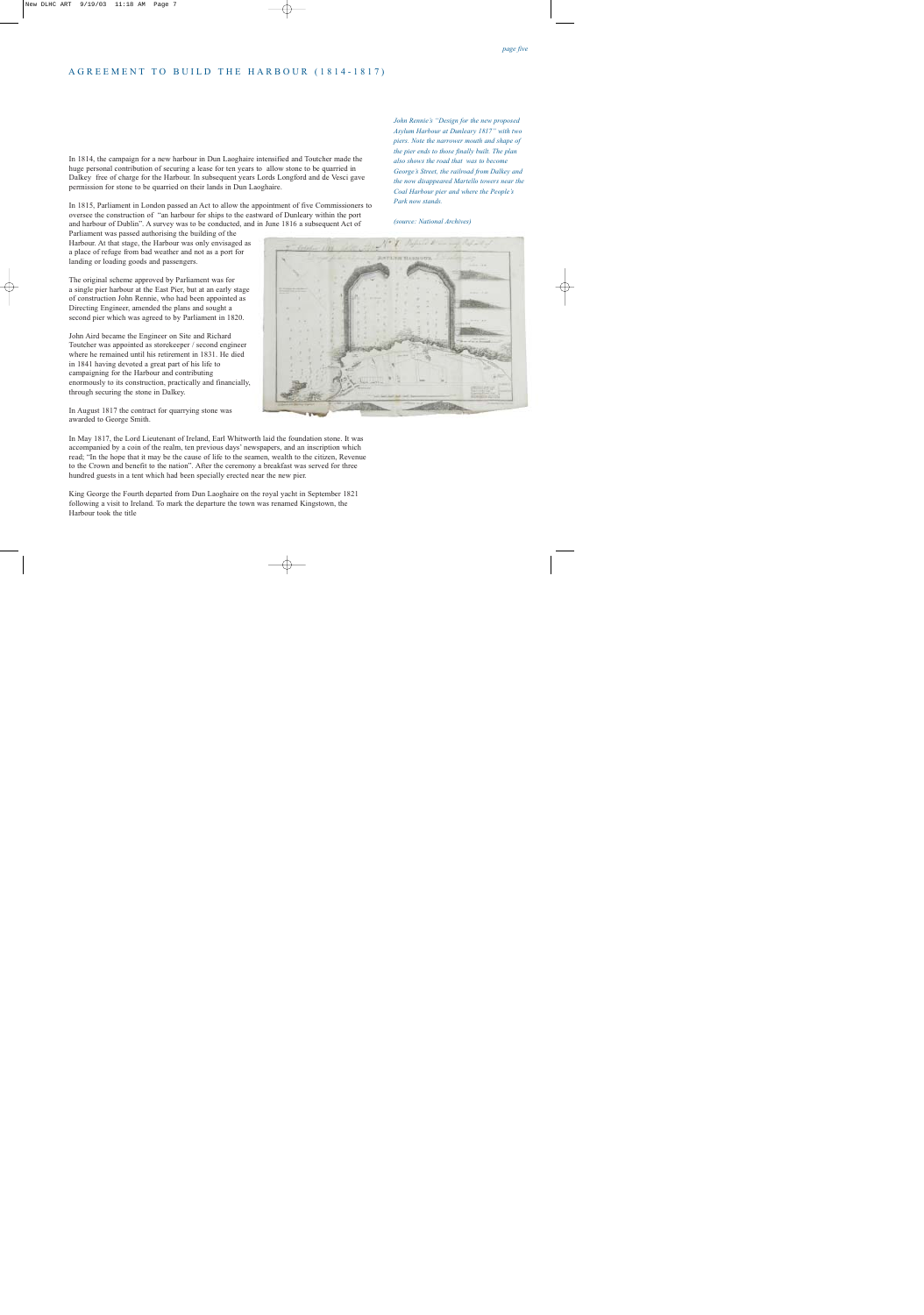## AGREEMENT TO BUILD THE HARBOUR (1814-1817)

In 1814, the campaign for a new harbour in Dun Laoghaire intensified and Toutcher made the huge personal contribution of securing a lease for ten years to allow stone to be quarried in Dalkey free of charge for the Harbour. In subsequent years Lords Longford and de Vesci gave permission for stone to be quarried on their lands in Dun Laoghaire.

In 1815, Parliament in London passed an Act to allow the appointment of five Commissioners to oversee the construction of "an harbour for ships to the eastward of Dunleary within the port and harbour of Dublin". A survey was to be conducted, and in June 1816 a subsequent Act of

Parliament was passed authorising the building of the Harbour. At that stage, the Harbour was only envisaged as a place of refuge from bad weather and not as a port for landing or loading goods and passengers.

The original scheme approved by Parliament was for a single pier harbour at the East Pier, but at an early stage of construction John Rennie, who had been appointed as Directing Engineer, amended the plans and sought a second pier which was agreed to by Parliament in 1820.

John Aird became the Engineer on Site and Richard Toutcher was appointed as storekeeper / second engineer where he remained until his retirement in 1831. He died in 1841 having devoted a great part of his life to campaigning for the Harbour and contributing enormously to its construction, practically and financially, through securing the stone in Dalkey.

In August 1817 the contract for quarrying stone was awarded to George Smith.

In May 1817, the Lord Lieutenant of Ireland, Earl Whitworth laid the foundation stone. It was accompanied by a coin of the realm, ten previous days' newspapers, and an inscription which read; "In the hope that it may be the cause of life to the seamen, wealth to the citizen, Revenue to the Crown and benefit to the nation". After the ceremony a breakfast was served for three hundred guests in a tent which had been specially erected near the new pier.

King George the Fourth departed from Dun Laoghaire on the royal yacht in September 1821 following a visit to Ireland. To mark the departure the town was renamed Kingstown, the Harbour took the title

*John Rennie's "Design for the new proposed Asylum Harbour at Dunleary 1817" with two piers. Note the narrower mouth and shape of the pier ends to those finally built. The plan also shows the road that was to become George's Street, the railroad from Dalkey and the now disappeared Martello towers near the Coal Harbour pier and where the People's Park now stands.*

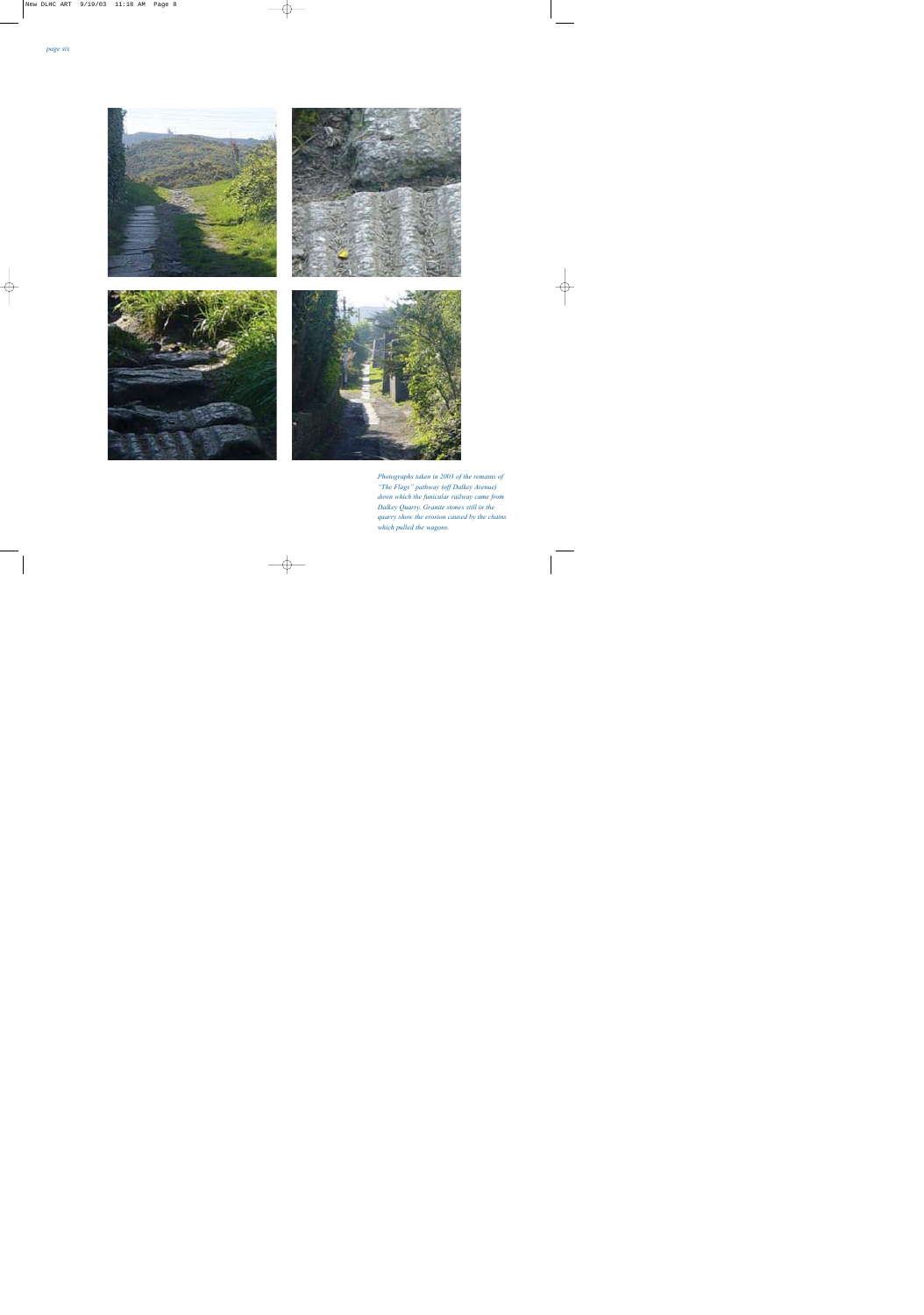

*Photographs taken in 2003 of the remains of "The Flags" pathway (off Dalkey Avenue) down which the funicular railway came from Dalkey Quarry. Granite stones still in the quarry show the erosion caused by the chains which pulled the wagons.*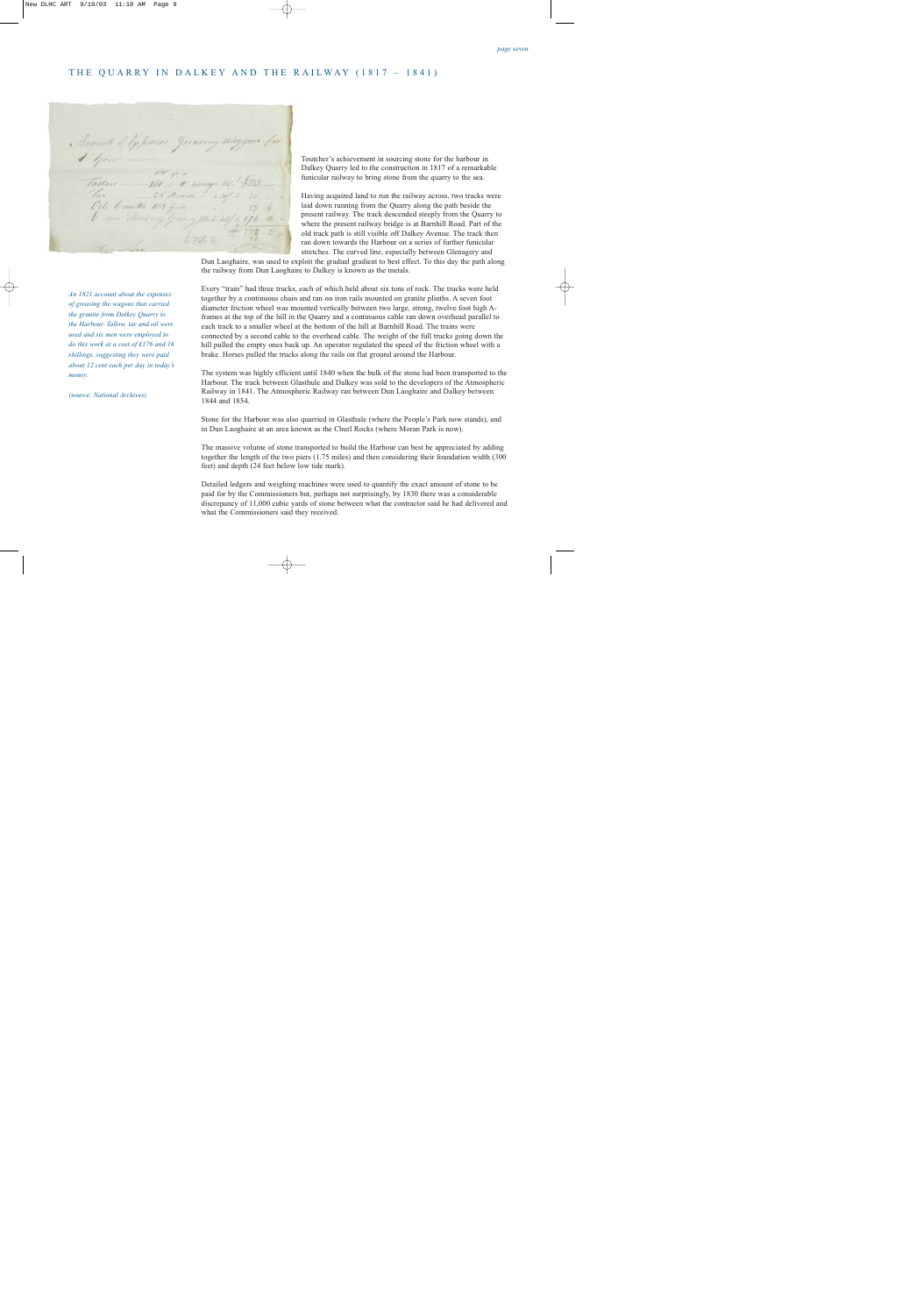#### THE QUARRY IN DALKEY AND THE RAILWAY (1817 – 1841)

Answer & Typences Greening Way Fallan - Filed & Roman Sept<br>Fallan - Filed & Roman Sept<br>Ofte Camello Port guite b. men William my Greening Minh 63/2 176

Toutcher's achievement in sourcing stone for the harbour in Dalkey Quarry led to the construction in 1817 of a remarkable funicular railway to bring stone from the quarry to the sea.

Having acquired land to run the railway across, two tracks were laid down running from the Quarry along the path beside the present railway. The track descended steeply from the Quarry to where the present railway bridge is at Barnhill Road. Part of the old track path is still visible off Dalkey Avenue. The track then ran down towards the Harbour on a series of further funicular stretches. The curved line, especially between Glenagery and

Dun Laoghaire, was used to exploit the gradual gradient to best effect. To this day the path along the railway from Dun Laoghaire to Dalkey is known as the metals.

Every "train" had three trucks, each of which held about six tons of rock. The trucks were held together by a continuous chain and ran on iron rails mounted on granite plinths. A seven foot diameter friction wheel was mounted vertically between two large, strong, twelve foot high Aframes at the top of the hill in the Quarry and a continuous cable ran down overhead parallel to each track to a smaller wheel at the bottom of the hill at Barnhill Road. The trains were connected by a second cable to the overhead cable. The weight of the full trucks going down the hill pulled the empty ones back up. An operator regulated the speed of the friction wheel with a brake. Horses pulled the trucks along the rails on flat ground around the Harbour.

The system was highly efficient until 1840 when the bulk of the stone had been transported to the Harbour. The track between Glasthule and Dalkey was sold to the developers of the Atmospheric Railway in 1841. The Atmospheric Railway ran between Dun Laoghaire and Dalkey between 1844 and 1854.

Stone for the Harbour was also quarried in Glasthule (where the People's Park now stands), and in Dun Laoghaire at an area known as the Churl Rocks (where Moran Park is now).

The massive volume of stone transported to build the Harbour can best be appreciated by adding together the length of the two piers (1.75 miles) and then considering their foundation width (300 feet) and depth (24 feet below low tide mark).

Detailed ledgers and weighing machines were used to quantify the exact amount of stone to be paid for by the Commissioners but, perhaps not surprisingly, by 1830 there was a considerable discrepancy of 11,000 cubic yards of stone between what the contractor said he had delivered and what the Commissioners said they received.

*An 1821 account about the expenses of greasing the wagons that carried the granite from Dalkey Quarry to the Harbour. Tallow, tar and oil were used and six men were employed to do this work at a cost of £176 and 16 shillings, suggesting they were paid about 12 cent each per day in today's money.*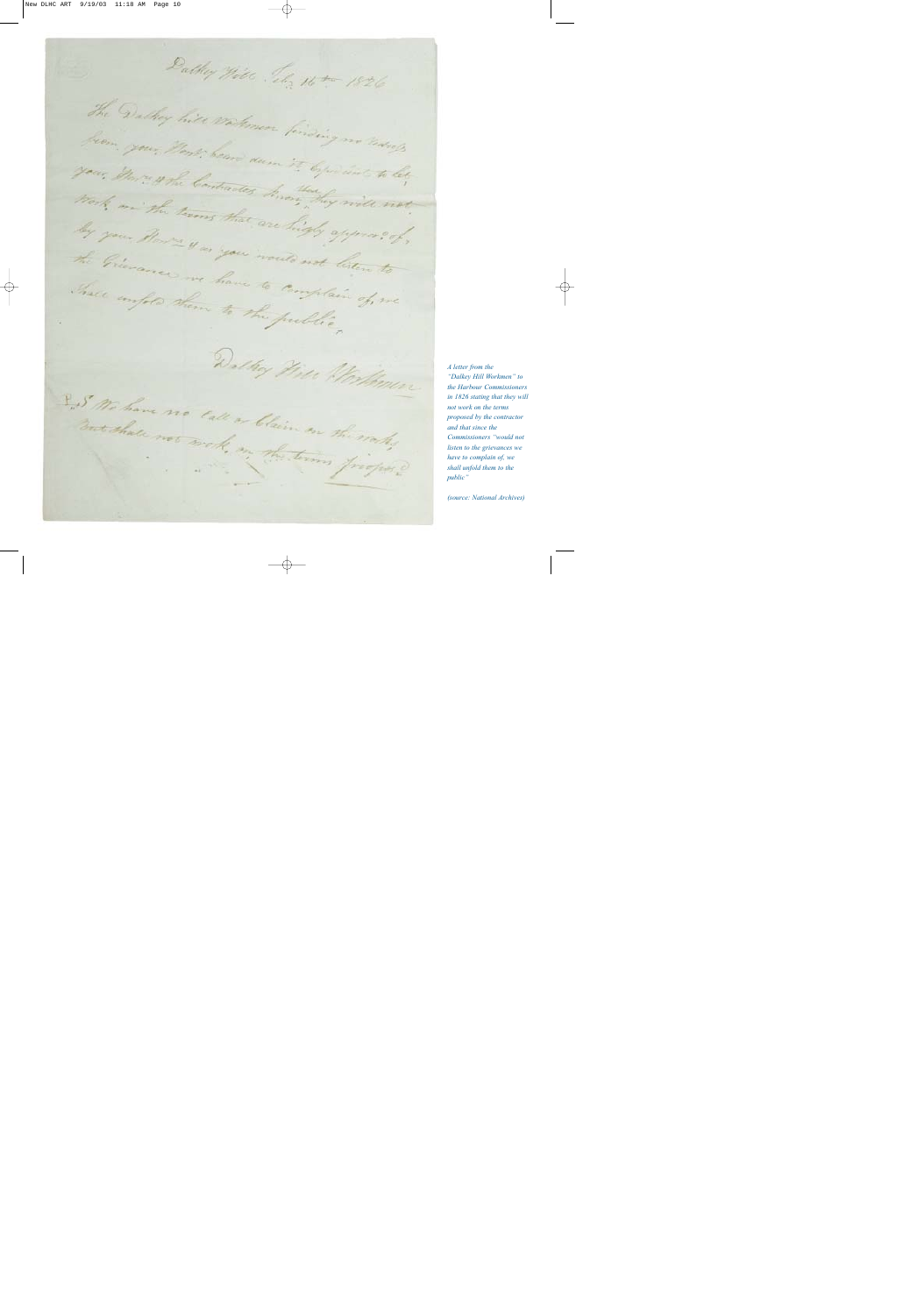Dalkey Will Jely 16 to 1826 The Dadley hits workman finding no tedrols from your Horse beare dum it by for sint to let your, Horn when Contractes have they will not Work on the terms that are high approved, by your Borre 4 as you would not listen to the Greenance we have to complain of me Thale empto them to the public, Dalkey Heal Mortoman Inst We have no call or blaim on the works medhale not work, in the terms program

*A letter from the "Dalkey Hill Workmen" to the Harbour Commissioners in 1826 stating that they will not work on the terms proposed by the contractor and that since the Commissioners "would not listen to the grievances we have to complain of, we shall unfold them to the public"*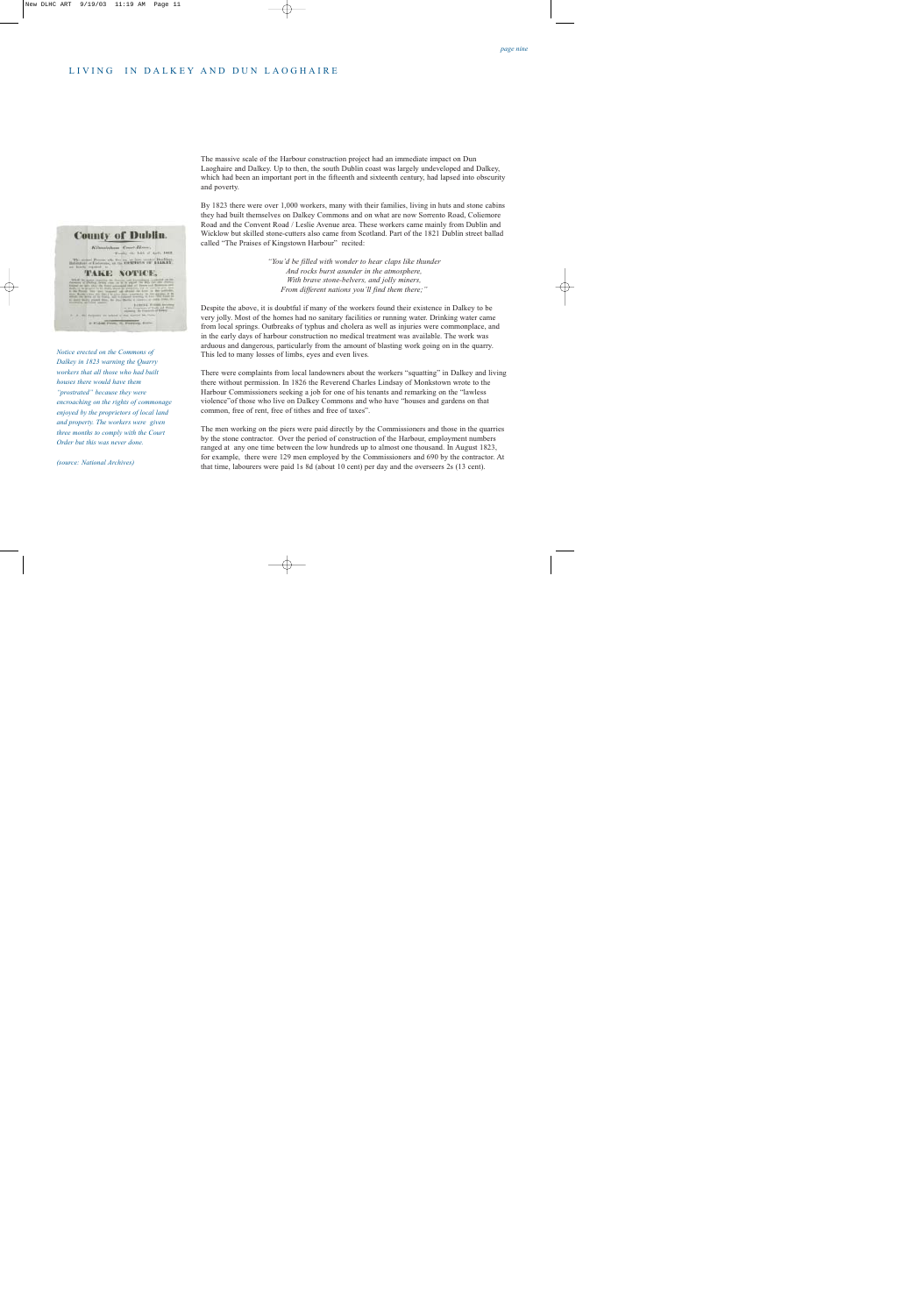## LIVING IN DALKEY AND DUN LAOGHAIRE

**County of Dublin** Kilmstehum Court-Hover, Tools the 14th of April 1953. **CONTROL OF BALKET** or Middle Press, 10, Findquis, Son

*Notice erected on the Commons of Dalkey in 1823 warning the Quarry workers that all those who had built houses there would have them "prostrated" because they were encroaching on the rights of commonage enjoyed by the proprietors of local land and property. The workers were given three months to comply with the Court Order but this was never done.*

*(source: National Archives)*

The massive scale of the Harbour construction project had an immediate impact on Dun Laoghaire and Dalkey. Up to then, the south Dublin coast was largely undeveloped and Dalkey, which had been an important port in the fifteenth and sixteenth century, had lapsed into obscurity and poverty.

By 1823 there were over 1,000 workers, many with their families, living in huts and stone cabins they had built themselves on Dalkey Commons and on what are now Sorrento Road, Coliemore Road and the Convent Road / Leslie Avenue area. These workers came mainly from Dublin and Wicklow but skilled stone-cutters also came from Scotland. Part of the 1821 Dublin street ballad called "The Praises of Kingstown Harbour" recited:

> *"You'd be filled with wonder to hear claps like thunder And rocks burst asunder in the atmosphere, With brave stone-belvers, and jolly miners, From different nations you'll find them there;"*

Despite the above, it is doubtful if many of the workers found their existence in Dalkey to be very jolly. Most of the homes had no sanitary facilities or running water. Drinking water came from local springs. Outbreaks of typhus and cholera as well as injuries were commonplace, and in the early days of harbour construction no medical treatment was available. The work was arduous and dangerous, particularly from the amount of blasting work going on in the quarry. This led to many losses of limbs, eyes and even lives.

There were complaints from local landowners about the workers "squatting" in Dalkey and living there without permission. In 1826 the Reverend Charles Lindsay of Monkstown wrote to the Harbour Commissioners seeking a job for one of his tenants and remarking on the "lawless violence"of those who live on Dalkey Commons and who have "houses and gardens on that common, free of rent, free of tithes and free of taxes".

The men working on the piers were paid directly by the Commissioners and those in the quarries by the stone contractor. Over the period of construction of the Harbour, employment numbers ranged at any one time between the low hundreds up to almost one thousand. In August 1823, for example, there were 129 men employed by the Commissioners and 690 by the contractor. At that time, labourers were paid 1s 8d (about 10 cent) per day and the overseers 2s (13 cent).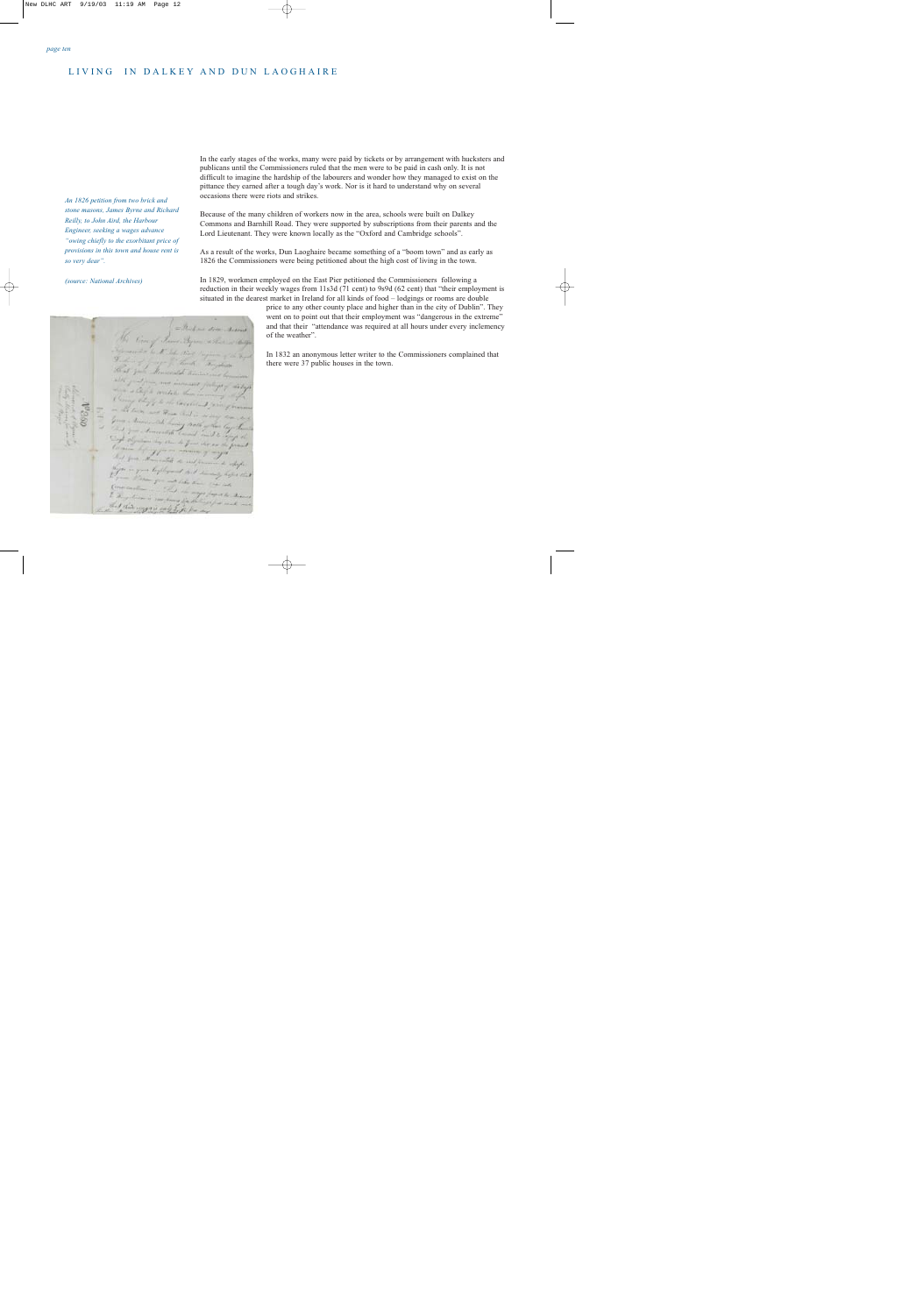#### LIVING IN DALKEY AND DUN LAOGHAIRE

*An 1826 petition from two brick and stone masons, James Byrne and Richard Reilly, to John Aird, the Harbour Engineer, seeking a wages advance "owing chiefly to the exorbitant price of provisions in this town and house rent is so very dear".*

*(source: National Archives)*

and this reggion and

In the early stages of the works, many were paid by tickets or by arrangement with hucksters and publicans until the Commissioners ruled that the men were to be paid in cash only. It is not difficult to imagine the hardship of the labourers and wonder how they managed to exist on the pittance they earned after a tough day's work. Nor is it hard to understand why on several occasions there were riots and strikes.

Because of the many children of workers now in the area, schools were built on Dalkey Commons and Barnhill Road. They were supported by subscriptions from their parents and the Lord Lieutenant. They were known locally as the "Oxford and Cambridge schools".

As a result of the works, Dun Laoghaire became something of a "boom town" and as early as 1826 the Commissioners were being petitioned about the high cost of living in the town.

In 1829, workmen employed on the East Pier petitioned the Commissioners following a reduction in their weekly wages from 11s3d (71 cent) to 9s9d (62 cent) that "their employment is situated in the dearest market in Ireland for all kinds of food – lodgings or rooms are double

> price to any other county place and higher than in the city of Dublin". They went on to point out that their employment was "dangerous in the extreme" and that their "attendance was required at all hours under every inclemency of the weather".

In 1832 an anonymous letter writer to the Commissioners complained that there were 37 public houses in the town.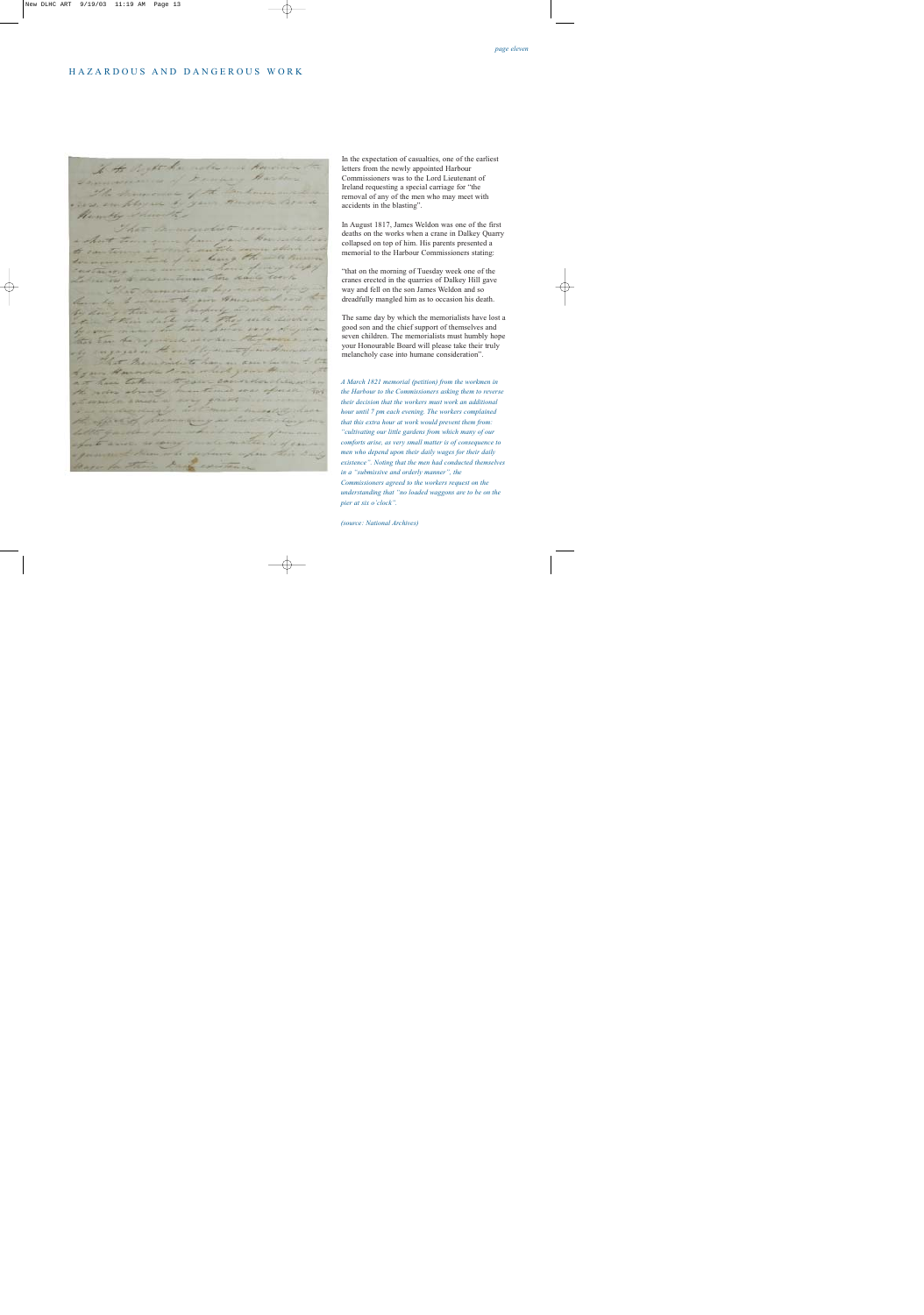#### HAZARDOUS AND DANGEROUS WORK

If the Regist the notice and havenon Semmers and of Francisco Harborn I directed of the reas employed to your Henrichter Share molist received in as an sum from your Householder can term it and suttile severe ablack in trace of the leaving the will human customers and uncarne hour frey Latin in a consentium there dails cont momentiste here mont der be I want to an Amount I can to doing this date properly and west weather their date with the will discharge on means in their house were disposed that has the required as when they cannon in in gaze in the sample were formed morning Premierite to have an assessment Humall lone which your Him taken not saw consideration of actor abready mentioned seas africar Harry Ly Hannock Bill Williams <u>and the state of the sea</u> **Contractor** sierin

In the expectation of casualties, one of the earliest letters from the newly appointed Harbour Commissioners was to the Lord Lieutenant of Ireland requesting a special carriage for "the removal of any of the men who may meet with accidents in the blasting".

In August 1817, James Weldon was one of the first deaths on the works when a crane in Dalkey Quarry collapsed on top of him. His parents presented a memorial to the Harbour Commissioners stating:

"that on the morning of Tuesday week one of the cranes erected in the quarries of Dalkey Hill gave way and fell on the son James Weldon and so dreadfully mangled him as to occasion his death.

The same day by which the memorialists have lost a good son and the chief support of themselves and seven children. The memorialists must humbly hope your Honourable Board will please take their truly melancholy case into humane consideration".

*A March 1821 memorial (petition) from the workmen in the Harbour to the Commissioners asking them to reverse their decision that the workers must work an additional hour until 7 pm each evening. The workers complained that this extra hour at work would prevent them from: "cultivating our little gardens from which many of our comforts arise, as very small matter is of consequence to men who depend upon their daily wages for their daily existence". Noting that the men had conducted themselves in a "submissive and orderly manner", the Commissioners agreed to the workers request on the understanding that "no loaded waggons are to be on the pier at six o'clock".*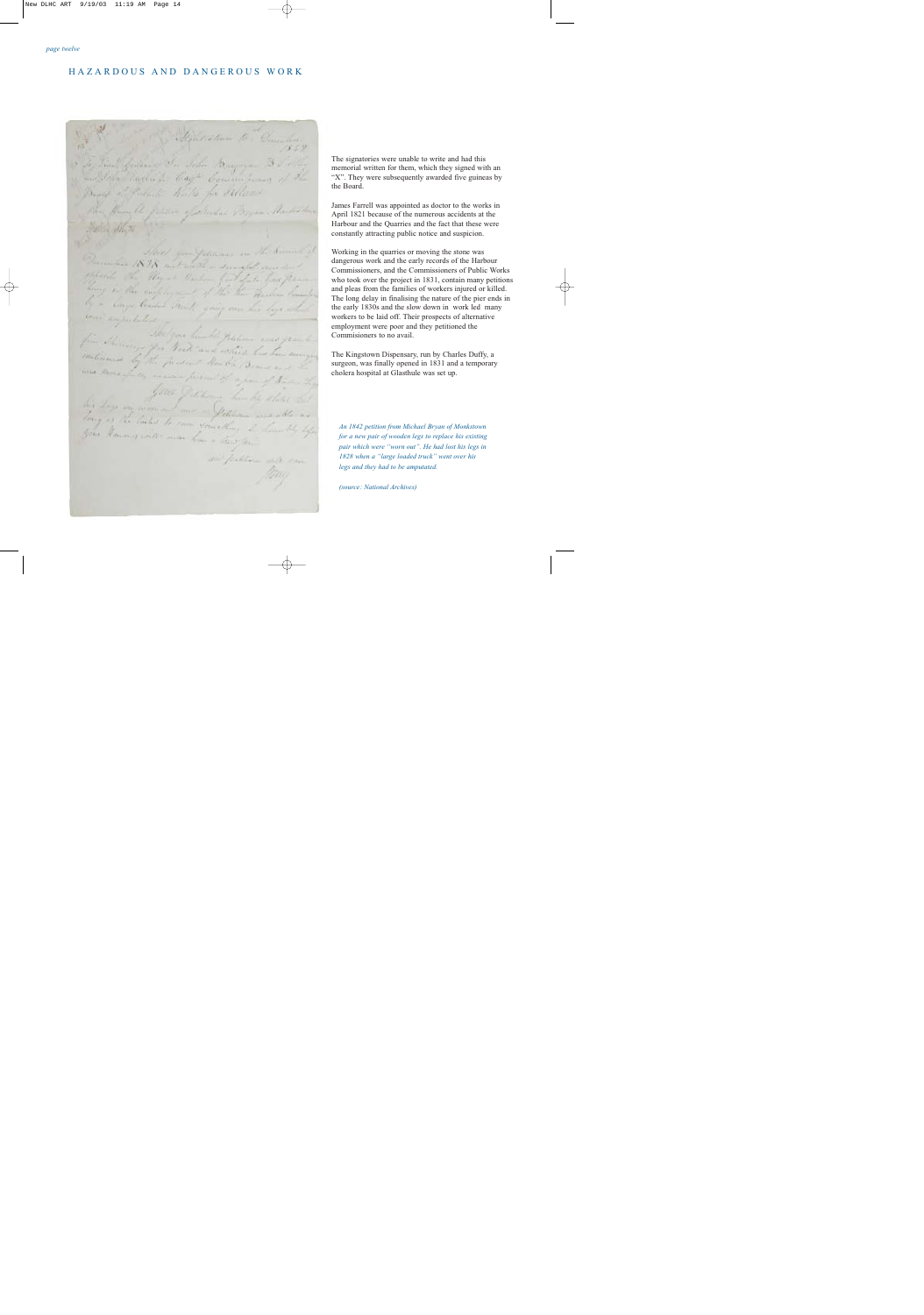#### HAZARDOUS AND DANGEROUS WORK

an public

The signatories were unable to write and had this memorial written for them, which they signed with an "X". They were subsequently awarded five guineas by the Board.

James Farrell was appointed as doctor to the works in April 1821 because of the numerous accidents at the Harbour and the Quarries and the fact that these were constantly attracting public notice and suspicion.

Working in the quarries or moving the stone was dangerous work and the early records of the Harbour Commissioners, and the Commissioners of Public Works who took over the project in 1831, contain many petitions and pleas from the families of workers injured or killed. The long delay in finalising the nature of the pier ends in the early 1830s and the slow down in work led many workers to be laid off. Their prospects of alternative employment were poor and they petitioned the Commisioners to no avail.

The Kingstown Dispensary, run by Charles Duffy, a surgeon, was finally opened in 1831 and a temporary cholera hospital at Glasthule was set up.

*An 1842 petition from Michael Bryan of Monkstown for a new pair of wooden legs to replace his existing pair which were "worn out". He had lost his legs in 1828 when a "large loaded truck" went over his legs and they had to be amputated.*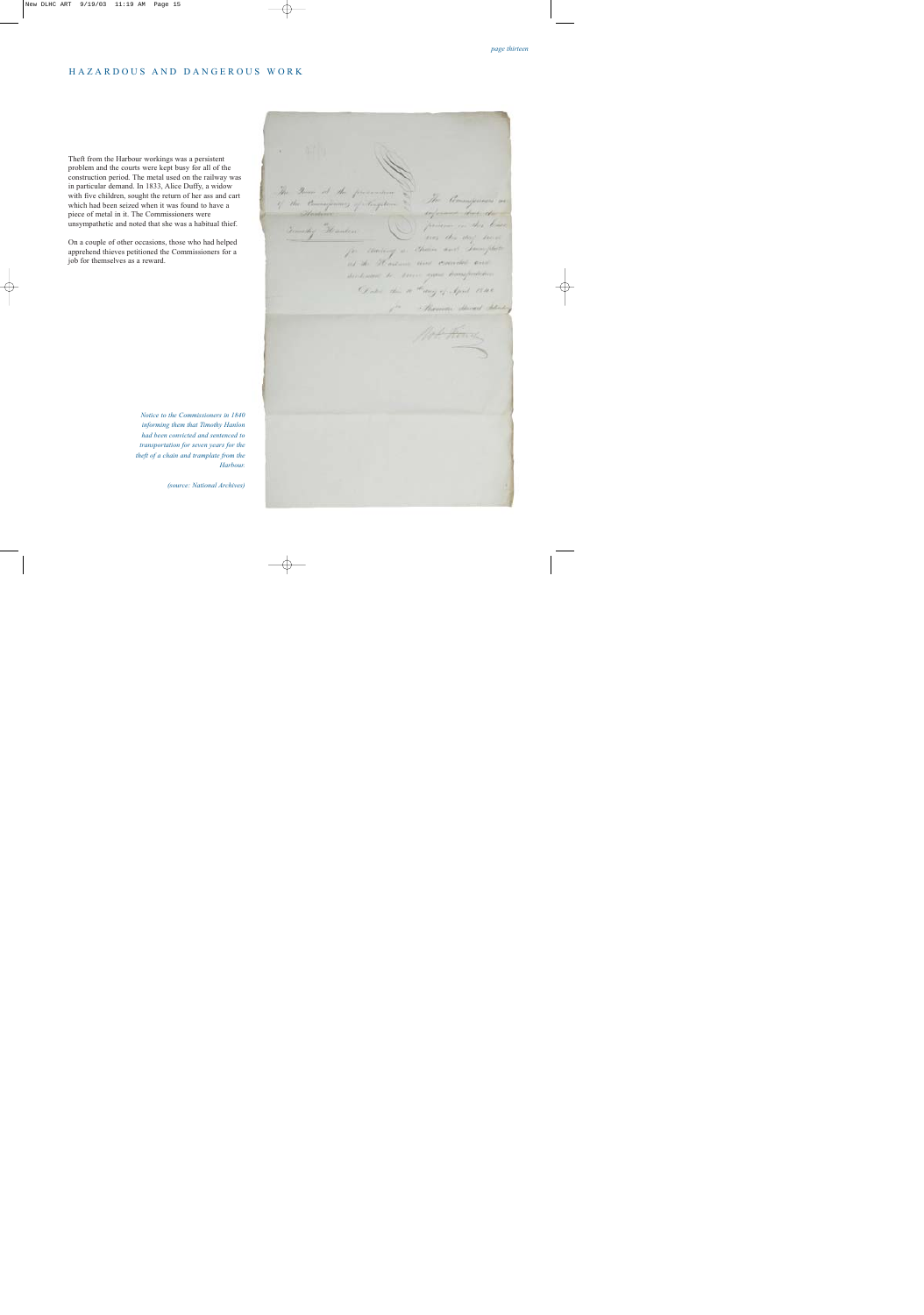#### HAZARDOUS AND DANGEROUS WORK

Theft from the Harbour workings was a persistent problem and the courts were kept busy for all of the construction period. The metal used on the railway was in particular demand. In 1833, Alice Duffy, a widow with five children, sought the return of her ass and cart which had been seized when it was found to have a piece of metal in it. The Commissioners were unsympathetic and noted that she was a habitual thief.

On a couple of other occasions, those who had helped apprehend thieves petitioned the Commissioners for a job for themselves as a reward.

> *Notice to the Commissioners in 1840 informing them that Timothy Hanlon had been convicted and sentenced to transportation for seven years for the theft of a chain and tramplate from the Harbour.*

The Town of the presention the twee of the presentium . The liminguisms are<br>9 the <del>liminguisms</del> of lengthers . The liminguisms are Vincenzo en des leurs Generally Heaven any the any time for morning in chain and Template at the Rosem and consider standards to same your humpertains Don't the a " may of April 1840 Jos . Hommer March School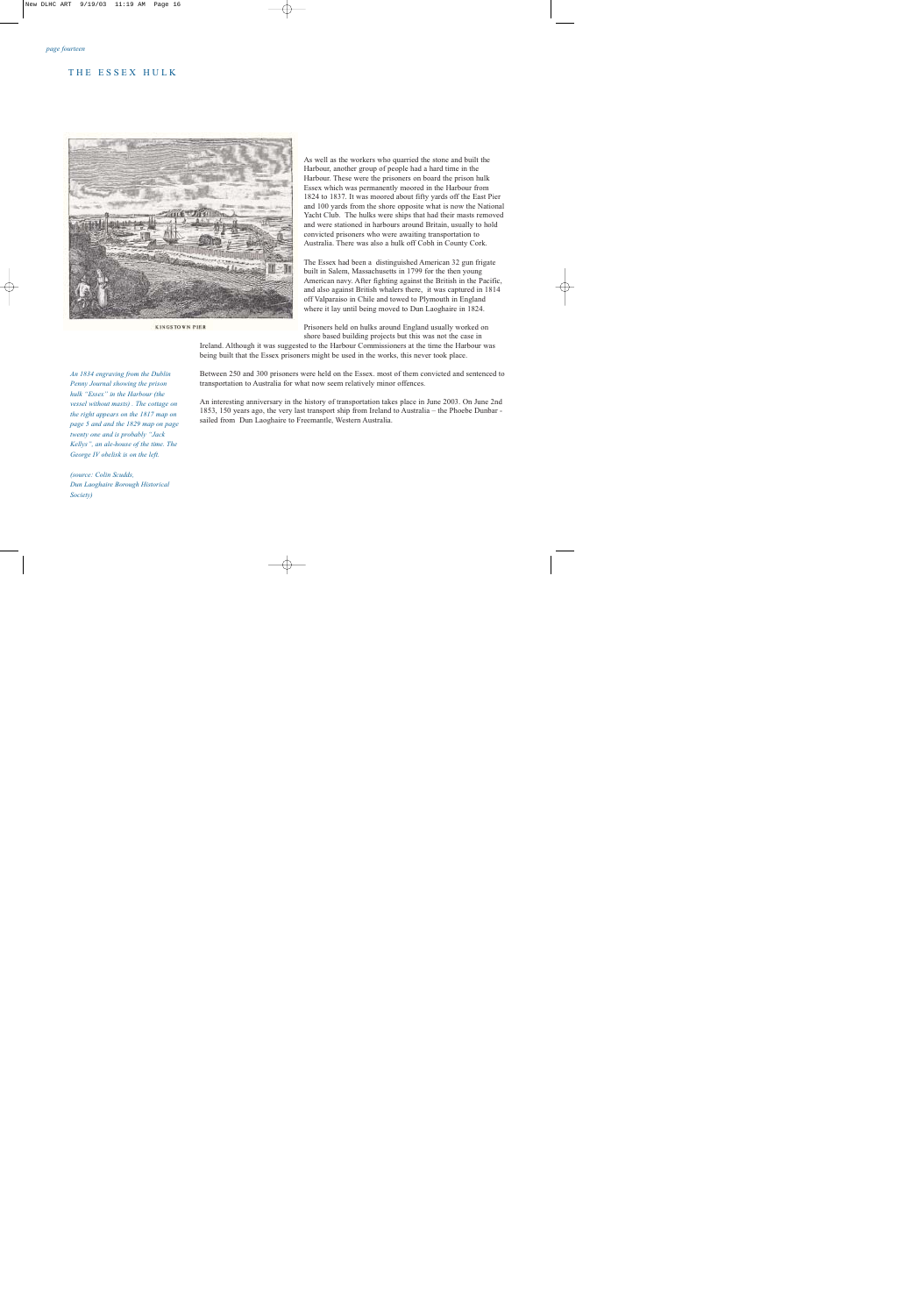#### THE ESSEX HULK



**KINGSTOWN PIER** 

*An 1834 engraving from the Dublin Penny Journal showing the prison hulk "Essex" in the Harbour (the vessel without masts) . The cottage on the right appears on the 1817 map on page 5 and and the 1829 map on page twenty one and is probably "Jack Kellys", an ale-house of the time. The George IV obelisk is on the left.*

*(source: Colin Scudds, Dun Laoghaire Borough Historical Society)*

As well as the workers who quarried the stone and built the Harbour, another group of people had a hard time in the Harbour. These were the prisoners on board the prison hulk Essex which was permanently moored in the Harbour from 1824 to 1837. It was moored about fifty yards off the East Pier and 100 yards from the shore opposite what is now the National Yacht Club. The hulks were ships that had their masts removed and were stationed in harbours around Britain, usually to hold convicted prisoners who were awaiting transportation to Australia. There was also a hulk off Cobh in County Cork.

The Essex had been a distinguished American 32 gun frigate built in Salem, Massachusetts in 1799 for the then young American navy. After fighting against the British in the Pacific, and also against British whalers there, it was captured in 1814 off Valparaiso in Chile and towed to Plymouth in England where it lay until being moved to Dun Laoghaire in 1824.

Prisoners held on hulks around England usually worked on shore based building projects but this was not the case in

Ireland. Although it was suggested to the Harbour Commissioners at the time the Harbour was being built that the Essex prisoners might be used in the works, this never took place.

Between 250 and 300 prisoners were held on the Essex. most of them convicted and sentenced to transportation to Australia for what now seem relatively minor offences.

An interesting anniversary in the history of transportation takes place in June 2003. On June 2nd 1853, 150 years ago, the very last transport ship from Ireland to Australia – the Phoebe Dunbar sailed from Dun Laoghaire to Freemantle, Western Australia.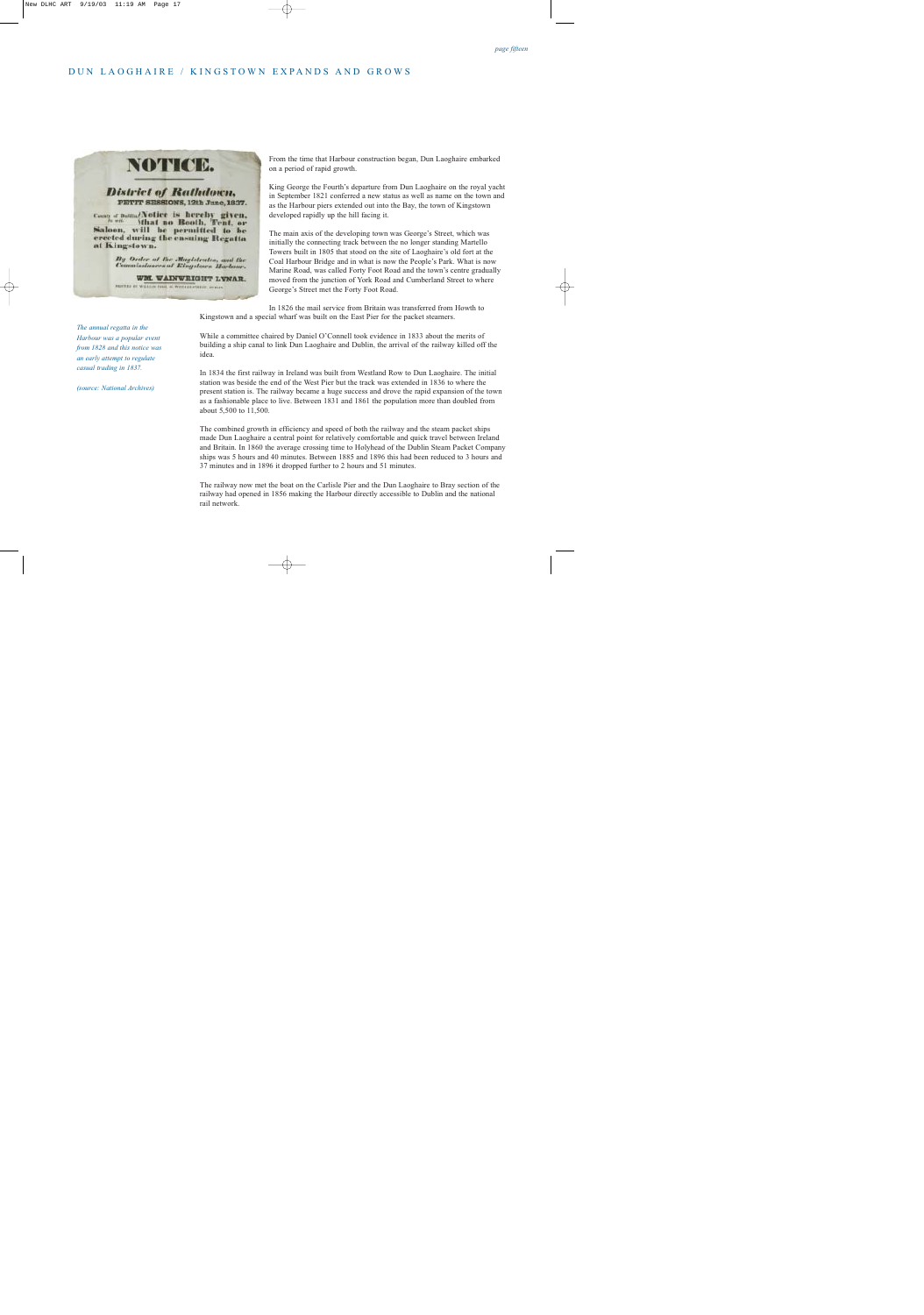## DUN LAOGHAIRE / KINGSTOWN EXPANDS AND GROWS



WM. WAINWRIGHT LYNAR. PROFESS OF WILLIAM PAUL 41, WILLIAM-TREET, INCOLN.

From the time that Harbour construction began, Dun Laoghaire embarked on a period of rapid growth.

King George the Fourth's departure from Dun Laoghaire on the royal yacht in September 1821 conferred a new status as well as name on the town and as the Harbour piers extended out into the Bay, the town of Kingstown developed rapidly up the hill facing it.

The main axis of the developing town was George's Street, which was initially the connecting track between the no longer standing Martello Towers built in 1805 that stood on the site of Laoghaire's old fort at the Coal Harbour Bridge and in what is now the People's Park. What is now Marine Road, was called Forty Foot Road and the town's centre gradually moved from the junction of York Road and Cumberland Street to where George's Street met the Forty Foot Road.

In 1826 the mail service from Britain was transferred from Howth to Kingstown and a special wharf was built on the East Pier for the packet steamers.

While a committee chaired by Daniel O'Connell took evidence in 1833 about the merits of building a ship canal to link Dun Laoghaire and Dublin, the arrival of the railway killed off the idea.

In 1834 the first railway in Ireland was built from Westland Row to Dun Laoghaire. The initial station was beside the end of the West Pier but the track was extended in 1836 to where the present station is. The railway became a huge success and drove the rapid expansion of the town as a fashionable place to live. Between 1831 and 1861 the population more than doubled from about 5,500 to 11,500.

The combined growth in efficiency and speed of both the railway and the steam packet ships made Dun Laoghaire a central point for relatively comfortable and quick travel between Ireland and Britain. In 1860 the average crossing time to Holyhead of the Dublin Steam Packet Company ships was 5 hours and 40 minutes. Between 1885 and 1896 this had been reduced to 3 hours and 37 minutes and in 1896 it dropped further to 2 hours and 51 minutes.

The railway now met the boat on the Carlisle Pier and the Dun Laoghaire to Bray section of the railway had opened in 1856 making the Harbour directly accessible to Dublin and the national rail network.

*The annual regatta in the Harbour was a popular event from 1828 and this notice was an early attempt to regulate casual trading in 1837.*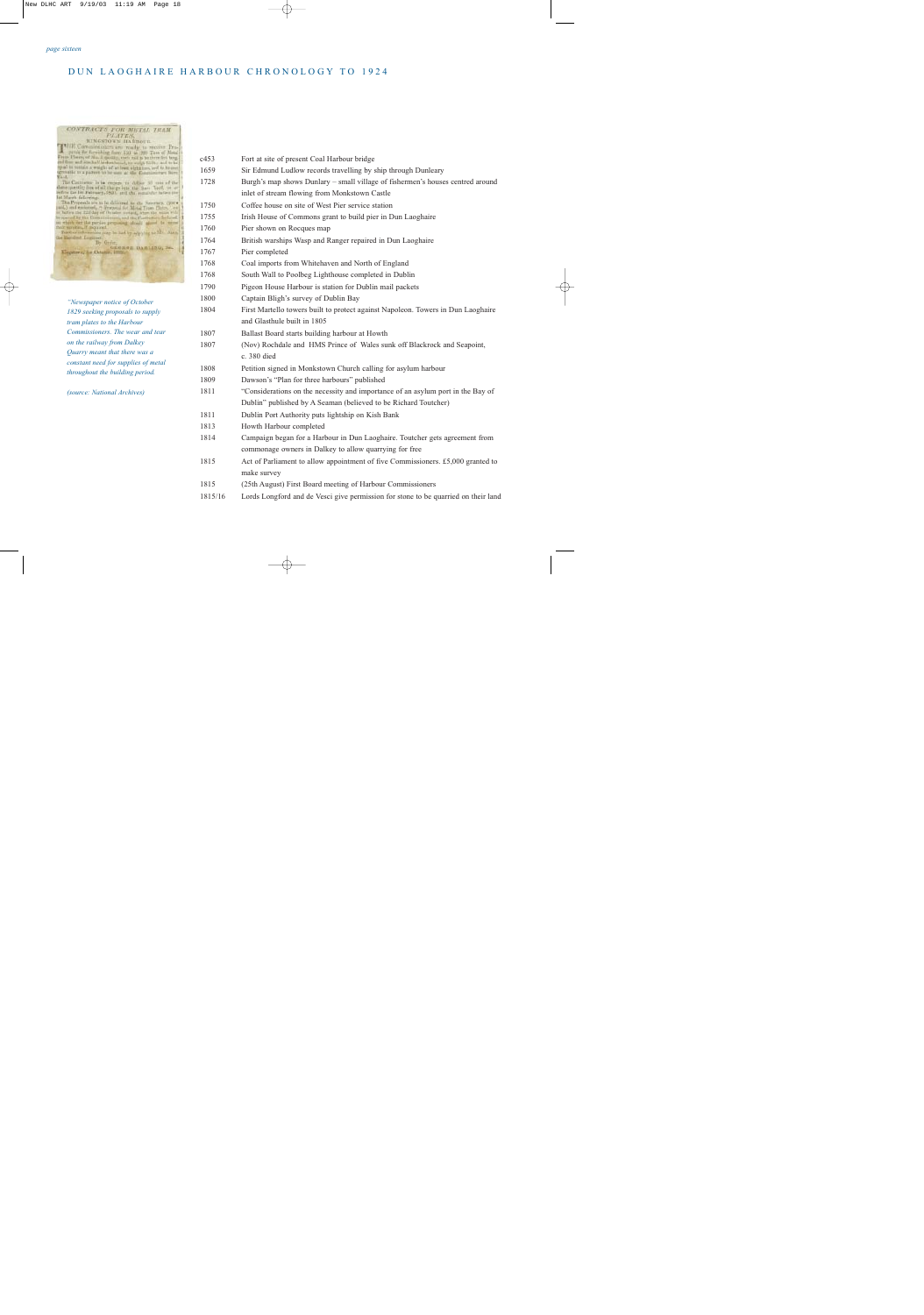# CONTRACTS FOR METLE TRAM

| <b>MARINER ARE REVENUERS</b>                                    |
|-----------------------------------------------------------------|
| Milli, Commissioners are youth, to recent Pro-                  |
| guide for farmishing form 150 to 500 Teen of Metal              |
| Days Plates; of No. 1 quolity, each sail is to three let beeg.  |
| of four and southalf leveles head, to weightfully and to be     |
| qual his mittain a weight of at frest sight tors, and to be out |
| geniable five pattern to be used at the County<br><b>Yard.</b>  |
| The Continence is in engage to delive 50 year of the            |
| date questly free of all the ge into the Sam Yerd, or or        |
| lefire the 10 February, 1801, and the remarche is few tim-      |
| 140 March Interving                                             |
| The Properals are to be delivered to the Peteristy, Oper-       |
| juid,) and extensel, it Proposal for Motal Trans Flates, Len-   |
| or lufors the E21 day of October instead, when the actor will   |
| by spanial Ry the Comercerorsing and the Carty                  |
| on which for the parties proposing should attack be wenn        |
| their sending if inquired.                                      |
| Further information may be liad by adplying to Mr. Alany        |
| the literature Louissee.                                        |
| <b>By Order</b>                                                 |
| GEORGE BARLING, Set.<br>ingstewn, ast October.                  |
|                                                                 |
|                                                                 |
|                                                                 |
|                                                                 |
|                                                                 |
|                                                                 |
|                                                                 |
|                                                                 |
|                                                                 |
|                                                                 |
| "Newspaper notice of October                                    |
|                                                                 |
| 1829 seeking proposals to supply                                |
|                                                                 |
| <i>tram plates to the Harbour</i>                               |

| <i>tram plates to the Harbour</i>   |
|-------------------------------------|
| Commissioners. The wear and tear    |
| on the railway from Dalkey          |
| Quarry meant that there was a       |
| constant need for supplies of metal |
| throughout the building period.     |

| c453    | Fort at site of present Coal Harbour bridge                                        |
|---------|------------------------------------------------------------------------------------|
| 1659    | Sir Edmund Ludlow records travelling by ship through Dunleary                      |
| 1728    | Burgh's map shows Dunlary - small village of fishermen's houses centred around     |
|         | inlet of stream flowing from Monkstown Castle                                      |
| 1750    | Coffee house on site of West Pier service station                                  |
| 1755    | Irish House of Commons grant to build pier in Dun Laoghaire                        |
| 1760    | Pier shown on Rocques map                                                          |
| 1764    | British warships Wasp and Ranger repaired in Dun Laoghaire                         |
| 1767    | Pier completed                                                                     |
| 1768    | Coal imports from Whitehaven and North of England                                  |
| 1768    | South Wall to Poolbeg Lighthouse completed in Dublin                               |
| 1790    | Pigeon House Harbour is station for Dublin mail packets                            |
| 1800    | Captain Bligh's survey of Dublin Bay                                               |
| 1804    | First Martello towers built to protect against Napoleon. Towers in Dun Laoghaire   |
|         | and Glasthule built in 1805                                                        |
| 1807    | Ballast Board starts building harbour at Howth                                     |
| 1807    | (Nov) Rochdale and HMS Prince of Wales sunk off Blackrock and Seapoint,            |
|         | c. 380 died                                                                        |
| 1808    | Petition signed in Monkstown Church calling for asylum harbour                     |
| 1809    | Dawson's "Plan for three harbours" published                                       |
| 1811    | "Considerations on the necessity and importance of an asylum port in the Bay of    |
|         | Dublin" published by A Seaman (believed to be Richard Toutcher)                    |
| 1811    | Dublin Port Authority puts lightship on Kish Bank                                  |
| 1813    | Howth Harbour completed                                                            |
| 1814    | Campaign began for a Harbour in Dun Laoghaire. Toutcher gets agreement from        |
|         | commonage owners in Dalkey to allow quarrying for free                             |
| 1815    | Act of Parliament to allow appointment of five Commissioners. £5,000 granted to    |
|         | make survey                                                                        |
| 1815    | (25th August) First Board meeting of Harbour Commissioners                         |
| 1815/16 | Lords Longford and de Vesci give permission for stone to be quarried on their land |
|         |                                                                                    |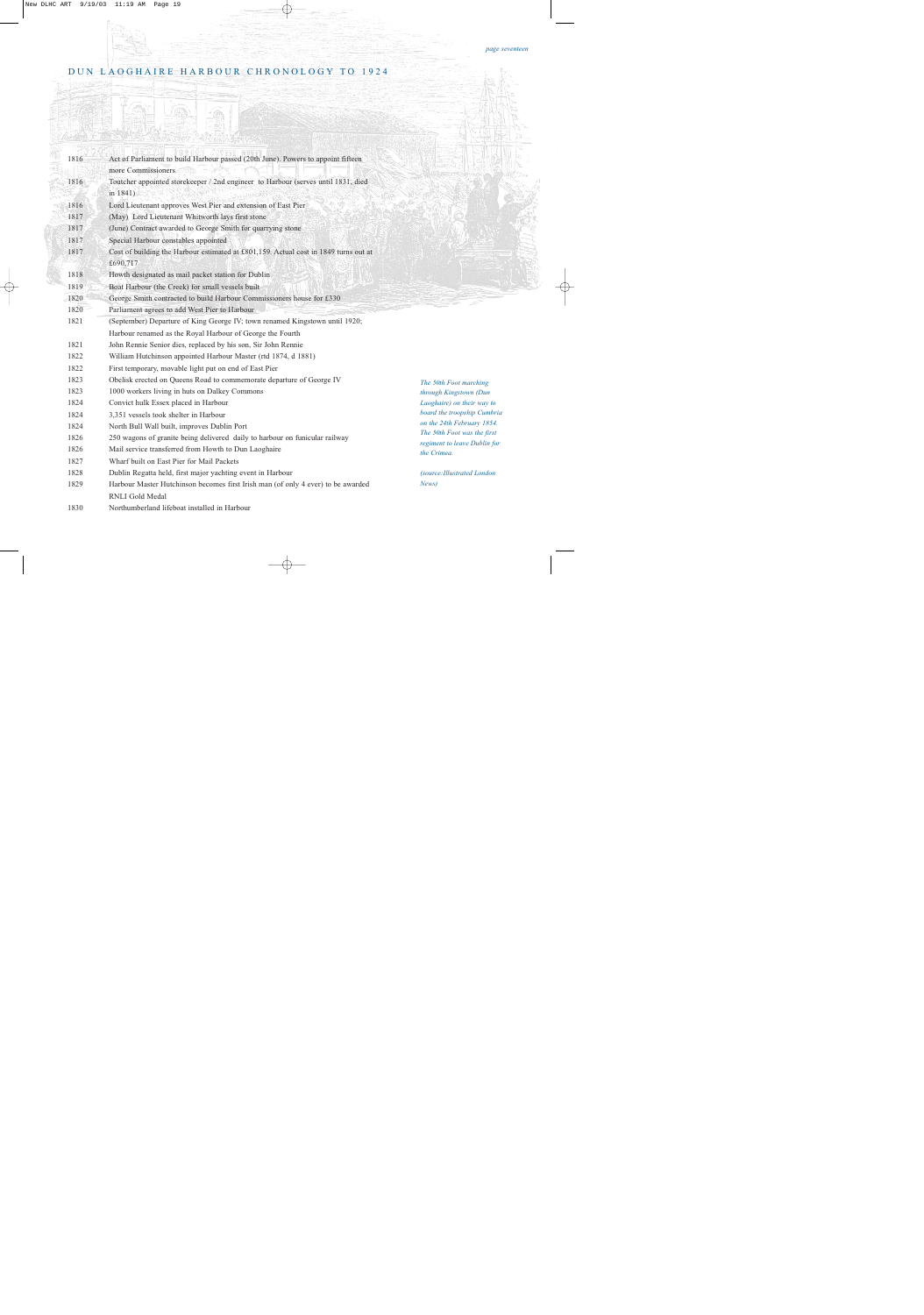| 1816 | Act of Parliament to build Harbour passed (20th June). Powers to appoint fifteen<br>more Commissioners |                                                             |
|------|--------------------------------------------------------------------------------------------------------|-------------------------------------------------------------|
| 1816 | Toutcher appointed storekeeper / 2nd engineer to Harbour (serves until 1831, died                      |                                                             |
|      | in $1841$ )                                                                                            |                                                             |
| 1816 | Lord Lieutenant approves West Pier and extension of East Pier                                          |                                                             |
| 1817 | (May) Lord Lieutenant Whitworth lays first stone                                                       |                                                             |
| 1817 | (June) Contract awarded to George Smith for quarrying stone                                            |                                                             |
| 1817 | Special Harbour constables appointed                                                                   |                                                             |
| 1817 | Cost of building the Harbour estimated at £801,159. Actual cost in 1849 turns out at                   |                                                             |
|      | £690,717                                                                                               |                                                             |
| 1818 | Howth designated as mail packet station for Dublin                                                     |                                                             |
| 1819 | Boat Harbour (the Creek) for small vessels built                                                       |                                                             |
| 1820 | George Smith contracted to build Harbour Commissioners house for £330                                  |                                                             |
| 1820 | Parliament agrees to add West Pier to Harbour                                                          |                                                             |
| 1821 | (September) Departure of King George IV; town renamed Kingstown until 1920;                            |                                                             |
|      | Harbour renamed as the Royal Harbour of George the Fourth                                              |                                                             |
| 1821 | John Rennie Senior dies, replaced by his son, Sir John Rennie                                          |                                                             |
| 1822 | William Hutchinson appointed Harbour Master (rtd 1874, d 1881)                                         |                                                             |
| 1822 | First temporary, movable light put on end of East Pier                                                 |                                                             |
| 1823 | Obelisk erected on Queens Road to commemorate departure of George IV                                   | The 50th Foot marching                                      |
| 1823 | 1000 workers living in huts on Dalkey Commons                                                          | through Kingstown (Dun                                      |
| 1824 | Convict hulk Essex placed in Harbour                                                                   | Laoghaire) on their way to                                  |
| 1824 | 3,351 vessels took shelter in Harbour                                                                  | board the troopship Cumbria                                 |
| 1824 | North Bull Wall built, improves Dublin Port                                                            | on the 24th February 1854.                                  |
| 1826 | 250 wagons of granite being delivered daily to harbour on funicular railway                            | The 50th Foot was the first<br>regiment to leave Dublin for |
| 1826 | Mail service transferred from Howth to Dun Laoghaire                                                   | the Crimea.                                                 |
| 1827 | Wharf built on East Pier for Mail Packets                                                              |                                                             |
| 1828 | Dublin Regatta held, first major yachting event in Harbour                                             | (source: Illustrated London                                 |
| 1829 | Harbour Master Hutchinson becomes first Irish man (of only 4 ever) to be awarded                       | News)                                                       |
|      | RNLI Gold Medal                                                                                        |                                                             |
| 1830 | Northumberland lifeboat installed in Harbour                                                           |                                                             |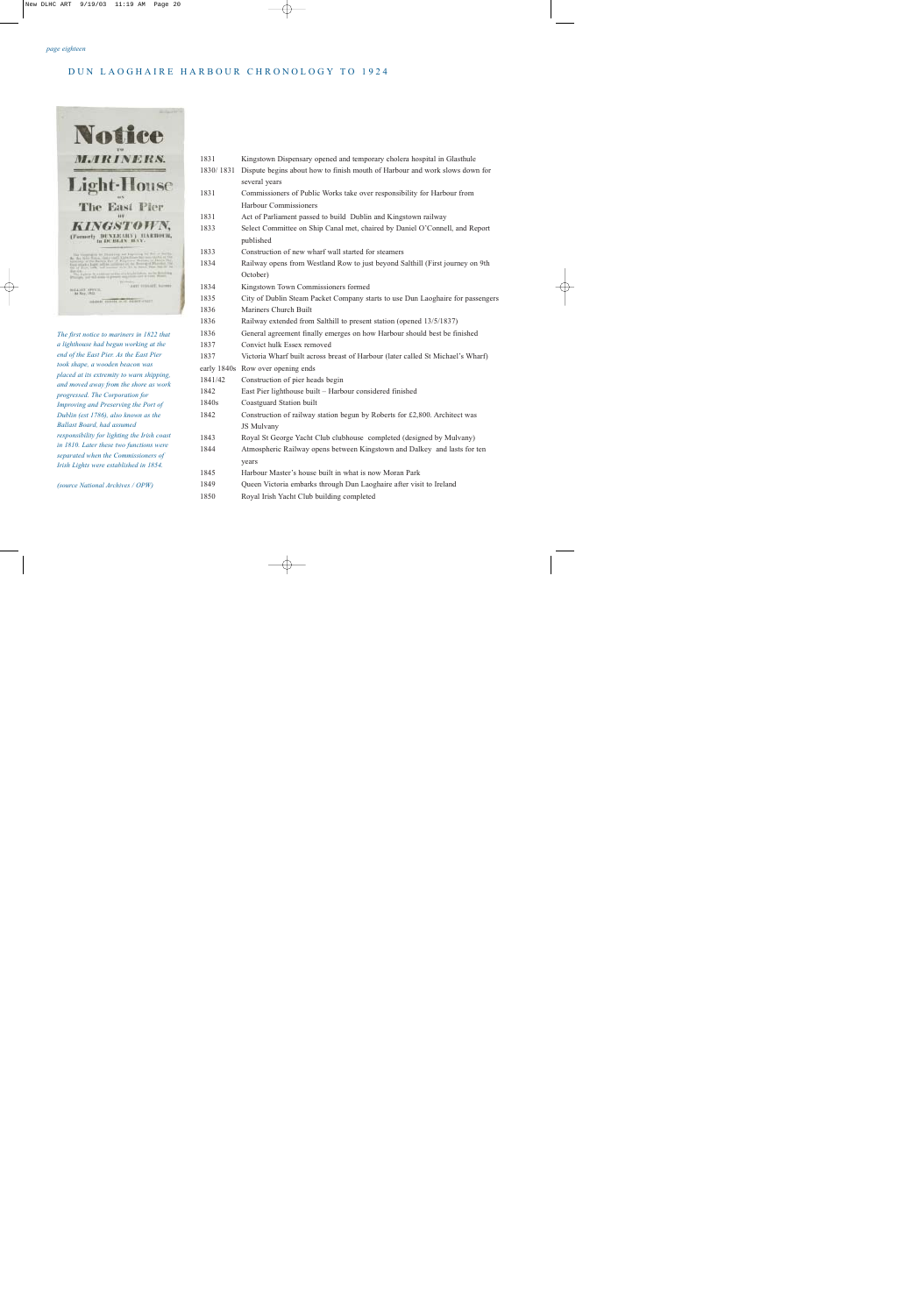

*The first notice to mariners in 1822 that a lighthouse had begun working at the end of the East Pier. As the East Pier took shape, a wooden beacon was placed at its extremity to warn shipping, and moved away from the shore as work progressed. The Corporation for Improving and Preserving the Port of Dublin (est 1786), also known as the Ballast Board, had assumed responsibility for lighting the Irish coast in 1810. Later these two functions were separated when the Commissioners of Irish Lights were established in 1854.*

*(source National Archives / OPW)*

| 1831      | Kingstown Dispensary opened and temporary cholera hospital in Glasthule                  |
|-----------|------------------------------------------------------------------------------------------|
| 1830/1831 | Dispute begins about how to finish mouth of Harbour and work slows down for              |
|           | several years                                                                            |
| 1831      | Commissioners of Public Works take over responsibility for Harbour from                  |
|           | <b>Harbour Commissioners</b>                                                             |
| 1831      | Act of Parliament passed to build Dublin and Kingstown railway                           |
| 1833      | Select Committee on Ship Canal met, chaired by Daniel O'Connell, and Report<br>published |
| 1833      | Construction of new wharf wall started for steamers                                      |
| 1834      | Railway opens from Westland Row to just beyond Salthill (First journey on 9th            |
|           | October)                                                                                 |
| 1834      | Kingstown Town Commissioners formed                                                      |
| 1835      | City of Dublin Steam Packet Company starts to use Dun Laoghaire for passengers           |
| 1836      | Mariners Church Built                                                                    |
| 1836      | Railway extended from Salthill to present station (opened 13/5/1837)                     |
| 1836      | General agreement finally emerges on how Harbour should best be finished                 |
| 1837      | Convict hulk Essex removed                                                               |
| 1837      | Victoria Wharf built across breast of Harbour (later called St Michael's Wharf)          |
|           | early 1840s Row over opening ends                                                        |
| 1841/42   | Construction of pier heads begin                                                         |
| 1842      | East Pier lighthouse built - Harbour considered finished                                 |
| 1840s     | Coastguard Station built                                                                 |
| 1842      | Construction of railway station begun by Roberts for £2,800. Architect was               |
|           | JS Mulvany                                                                               |
| 1843      | Royal St George Yacht Club clubhouse completed (designed by Mulvany)                     |
| 1844      | Atmospheric Railway opens between Kingstown and Dalkey and lasts for ten                 |
|           | years                                                                                    |
| 1845      | Harbour Master's house built in what is now Moran Park                                   |
| 1849      | Queen Victoria embarks through Dun Laoghaire after visit to Ireland                      |
| 1850      | Royal Irish Yacht Club building completed                                                |
|           |                                                                                          |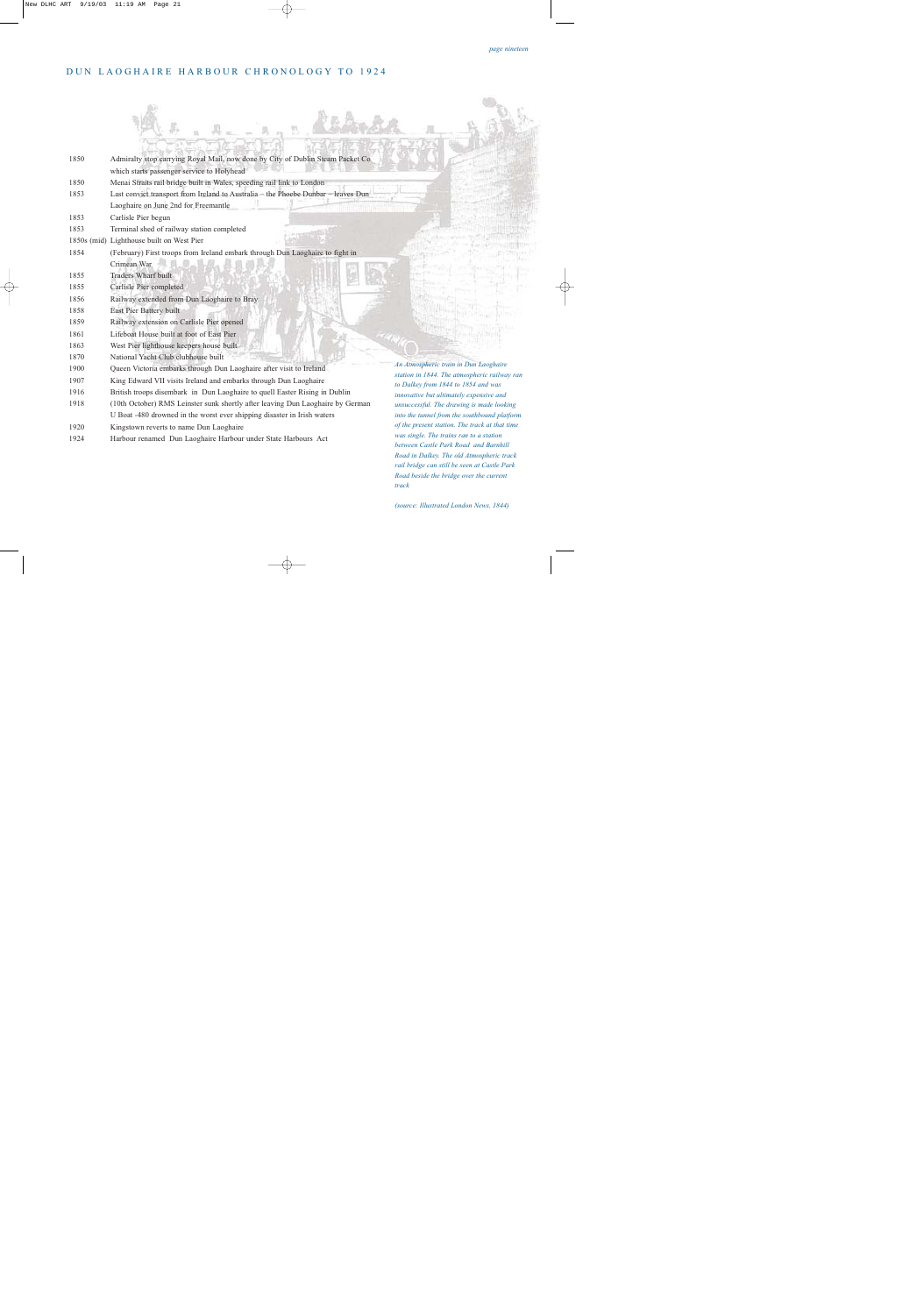. . . . . . . . .

| 1850 | Admiralty stop carrying Royal Mail, now done by City of Dublin Steam Packet Co<br>which starts passenger service to Holyhead |                                                                                                                               |
|------|------------------------------------------------------------------------------------------------------------------------------|-------------------------------------------------------------------------------------------------------------------------------|
| 1850 | Menai Straits rail bridge built in Wales, speeding rail link to London                                                       |                                                                                                                               |
| 1853 | Last convict transport from Ireland to Australia - the Phoebe Dunbar - leaves Dun                                            |                                                                                                                               |
|      | Laoghaire on June 2nd for Freemantle                                                                                         |                                                                                                                               |
| 1853 | Carlisle Pier begun                                                                                                          |                                                                                                                               |
| 1853 | Terminal shed of railway station completed                                                                                   |                                                                                                                               |
|      | 1850s (mid) Lighthouse built on West Pier                                                                                    |                                                                                                                               |
| 1854 | (February) First troops from Ireland embark through Dun Laoghaire to fight in                                                |                                                                                                                               |
|      | Crimean War                                                                                                                  |                                                                                                                               |
| 1855 | <b>Traders Wharf built</b>                                                                                                   |                                                                                                                               |
| 1855 | Carlisle Pier completed                                                                                                      |                                                                                                                               |
| 1856 | Railway extended from Dun Laoghaire to Bray                                                                                  |                                                                                                                               |
| 1858 | East Pier Battery built                                                                                                      |                                                                                                                               |
| 1859 | Railway extension on Carlisle Pier opened                                                                                    |                                                                                                                               |
| 1861 | Lifeboat House built at foot of East Pier                                                                                    |                                                                                                                               |
| 1863 | West Pier lighthouse keepers house built                                                                                     |                                                                                                                               |
| 1870 | National Yacht Club clubhouse built                                                                                          |                                                                                                                               |
| 1900 | Queen Victoria embarks through Dun Laoghaire after visit to Ireland                                                          | An Atmospheric train in Dun Laoghaire<br>station in 1844. The atmospheric railway ran                                         |
| 1907 | King Edward VII visits Ireland and embarks through Dun Laoghaire                                                             | to Dalkey from 1844 to 1854 and was                                                                                           |
| 1916 | British troops disembark in Dun Laoghaire to quell Easter Rising in Dublin                                                   | innovative but ultimately expensive and                                                                                       |
| 1918 | (10th October) RMS Leinster sunk shortly after leaving Dun Laoghaire by German                                               | unsuccessful. The drawing is made looking                                                                                     |
|      | U Boat -480 drowned in the worst ever shipping disaster in Irish waters                                                      | into the tunnel from the southbound platform                                                                                  |
| 1920 | Kingstown reverts to name Dun Laoghaire                                                                                      | of the present station. The track at that time                                                                                |
| 1924 | Harbour renamed Dun Laoghaire Harbour under State Harbours Act                                                               | was single. The trains ran to a station<br>between Castle Park Road and Barnhill<br>Road in Dalkey. The old Atmospheric track |

 $\mathcal{D}_2$ 

*(source: Illustrated London News, 1844)*

*track* 

Jacks

*rail bridge can still be seen at Castle Park Road beside the bridge over the current*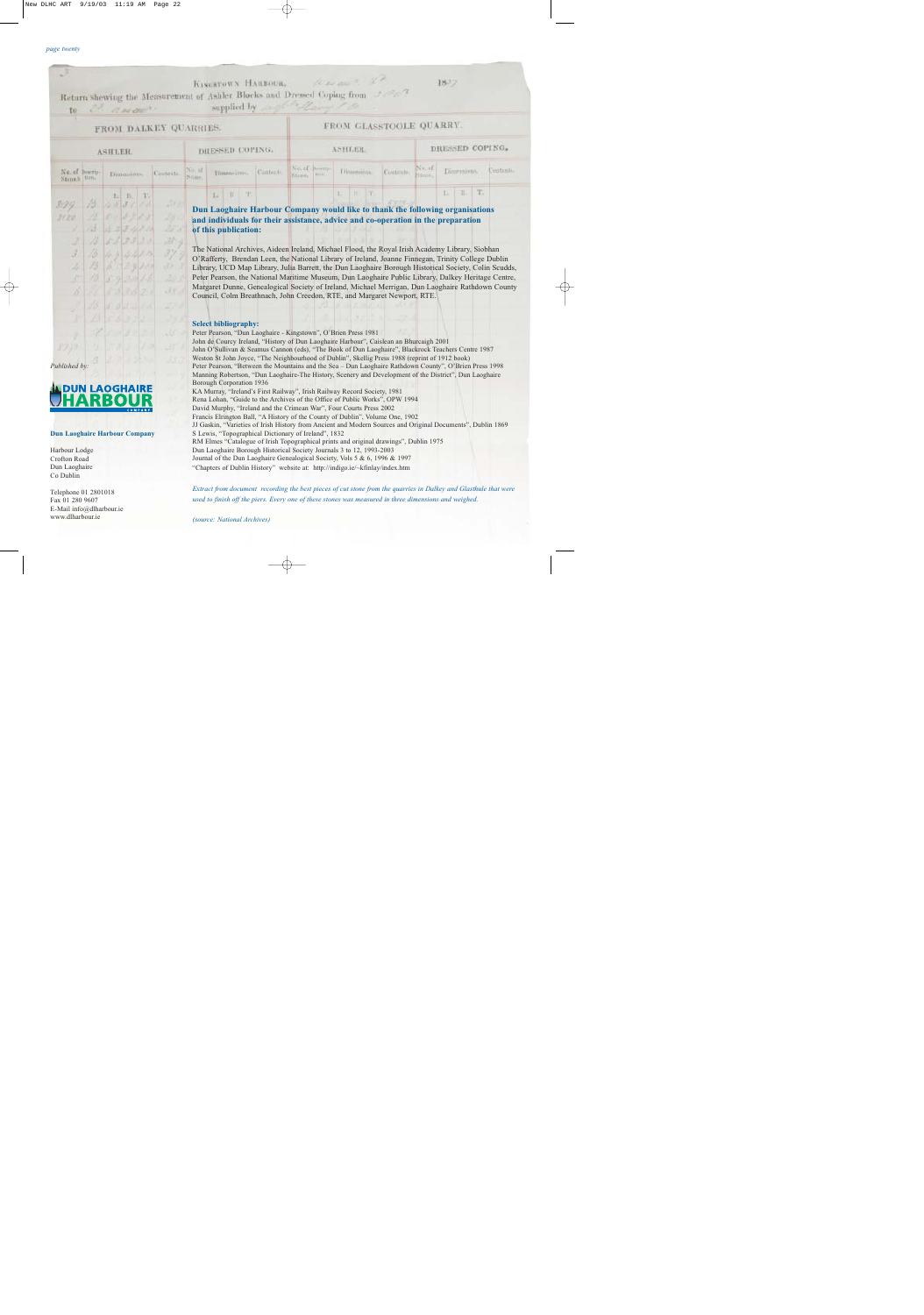| to                                                                                                                      |            |                      |  |           |                 | KINGSTOWN HARBOUR,<br>Return shewing the Measurement of Ashler Blocks and Dressed Coping from Jerez<br>supplied by something of the                                                                                                                                                                                                                                                                                                                                                                                                                                                                                                                                                                                                       |          |        |                        | Warrant, 20         |                 |                  | $18 - 7$           |            |
|-------------------------------------------------------------------------------------------------------------------------|------------|----------------------|--|-----------|-----------------|-------------------------------------------------------------------------------------------------------------------------------------------------------------------------------------------------------------------------------------------------------------------------------------------------------------------------------------------------------------------------------------------------------------------------------------------------------------------------------------------------------------------------------------------------------------------------------------------------------------------------------------------------------------------------------------------------------------------------------------------|----------|--------|------------------------|---------------------|-----------------|------------------|--------------------|------------|
| 2. Navant.<br>FROM DALKEY QUARRIES.                                                                                     |            |                      |  |           |                 | FROM GLASSTOOLE QUARRY.                                                                                                                                                                                                                                                                                                                                                                                                                                                                                                                                                                                                                                                                                                                   |          |        |                        |                     |                 |                  |                    |            |
| ASHLER.                                                                                                                 |            |                      |  |           | DRESSED COPING. |                                                                                                                                                                                                                                                                                                                                                                                                                                                                                                                                                                                                                                                                                                                                           | ASHLER.  |        |                        |                     | DRESSED COPING. |                  |                    |            |
| No. of Docrip-<br>Stone 1 flow                                                                                          |            | Dimensions.          |  | Contents. | Stone.          | Trimme-Inne-                                                                                                                                                                                                                                                                                                                                                                                                                                                                                                                                                                                                                                                                                                                              | Cantent- | Nfames | No. of Downp.<br>HITE. | Dinamina.           | Controls.       | NOLOD<br>Sterne. | Dingmission.       | Controlls. |
|                                                                                                                         |            | $L$ $B$<br>263       |  |           |                 | L E T.                                                                                                                                                                                                                                                                                                                                                                                                                                                                                                                                                                                                                                                                                                                                    |          |        |                        | 31.<br>$\mathbb{E}$ |                 |                  | IT.<br>$L_1$ $L_2$ |            |
| 3180<br>$\vec{\mathcal{J}}$                                                                                             | 73.<br>13. | 55733                |  | 35        |                 | and individuals for their assistance, advice and co-operation in the preparation<br>of this publication:<br>The National Archives, Aideen Ireland, Michael Flood, the Royal Irish Academy Library, Siobhan                                                                                                                                                                                                                                                                                                                                                                                                                                                                                                                                |          |        |                        |                     |                 |                  |                    |            |
|                                                                                                                         |            | 44341<br>$1.7 - 9$   |  |           |                 | O'Rafferty, Brendan Leen, the National Library of Ireland, Joanne Finnegan, Trinity College Dublin<br>Library, UCD Map Library, Julia Barrett, the Dun Laoghaire Borough Historical Society, Colin Scudds,<br>Peter Pearson, the National Maritime Museum, Dun Laoghaire Public Library, Dalkey Heritage Centre,<br>Margaret Dunne, Genealogical Society of Ireland, Michael Merrigan, Dun Laoghaire Rathdown County<br>Council, Colm Breathnach, John Creedon, RTE, and Margaret Newport, RTE.                                                                                                                                                                                                                                           |          |        |                        |                     |                 |                  |                    |            |
| Published by:                                                                                                           |            | <b>DUN LAOGHAIRE</b> |  |           |                 | <b>Select bibliography:</b><br>Peter Pearson, "Dun Laoghaire - Kingstown", O'Brien Press 1981<br>John de Courcy Ireland, "History of Dun Laoghaire Harbour", Caislean an Bhurcaigh 2001<br>John O'Sullivan & Seamus Cannon (eds), "The Book of Dun Laoghaire", Blackrock Teachers Centre 1987<br>Weston St John Joyce, "The Neighbourhood of Dublin", Skellig Press 1988 (reprint of 1912 book)<br>Peter Pearson, "Between the Mountains and the Sea - Dun Laoghaire Rathdown County", O'Brien Press 1998<br>Manning Robertson, "Dun Laoghaire-The History, Scenery and Development of the District", Dun Laoghaire<br>Borough Corporation 1936<br>KA Murray, "Ireland's First Railway", Irish Railway Record Society, 1981               |          |        |                        |                     |                 |                  |                    |            |
| RBOUR<br>COMPANY<br><b>Dun Laoghaire Harbour Company</b><br>Harbour Lodge<br>Crofton Road<br>Dun Laoghaire<br>Co Dublin |            |                      |  |           |                 | Rena Lohan, "Guide to the Archives of the Office of Public Works", OPW 1994<br>David Murphy, "Ireland and the Crimean War", Four Courts Press 2002<br>Francis Elrington Ball, "A History of the County of Dublin", Volume One, 1902<br>JJ Gaskin, "Varieties of Irish History from Ancient and Modern Sources and Original Documents", Dublin 1869<br>S Lewis, "Topographical Dictionary of Ireland", 1832<br>RM Elmes "Catalogue of Irish Topographical prints and original drawings", Dublin 1975<br>Dun Laoghaire Borough Historical Society Journals 3 to 12, 1993-2003<br>Journal of the Dun Laoghaire Genealogical Society, Vols 5 & 6, 1996 & 1997<br>"Chapters of Dublin History" website at: http://indigo.ie/~kfinlay/index.htm |          |        |                        |                     |                 |                  |                    |            |
| Telephone 01 2801018<br>Fax 01 280 9607<br>E-Mail info@dlharbour.ie<br>www.dlharbour.ie                                 |            |                      |  |           |                 | Extract from document recording the best pieces of cut stone from the quarries in Dalkey and Glasthule that were<br>used to finish off the piers. Every one of these stones was measured in three dimensions and weighed.<br>(source: National Archives)                                                                                                                                                                                                                                                                                                                                                                                                                                                                                  |          |        |                        |                     |                 |                  |                    |            |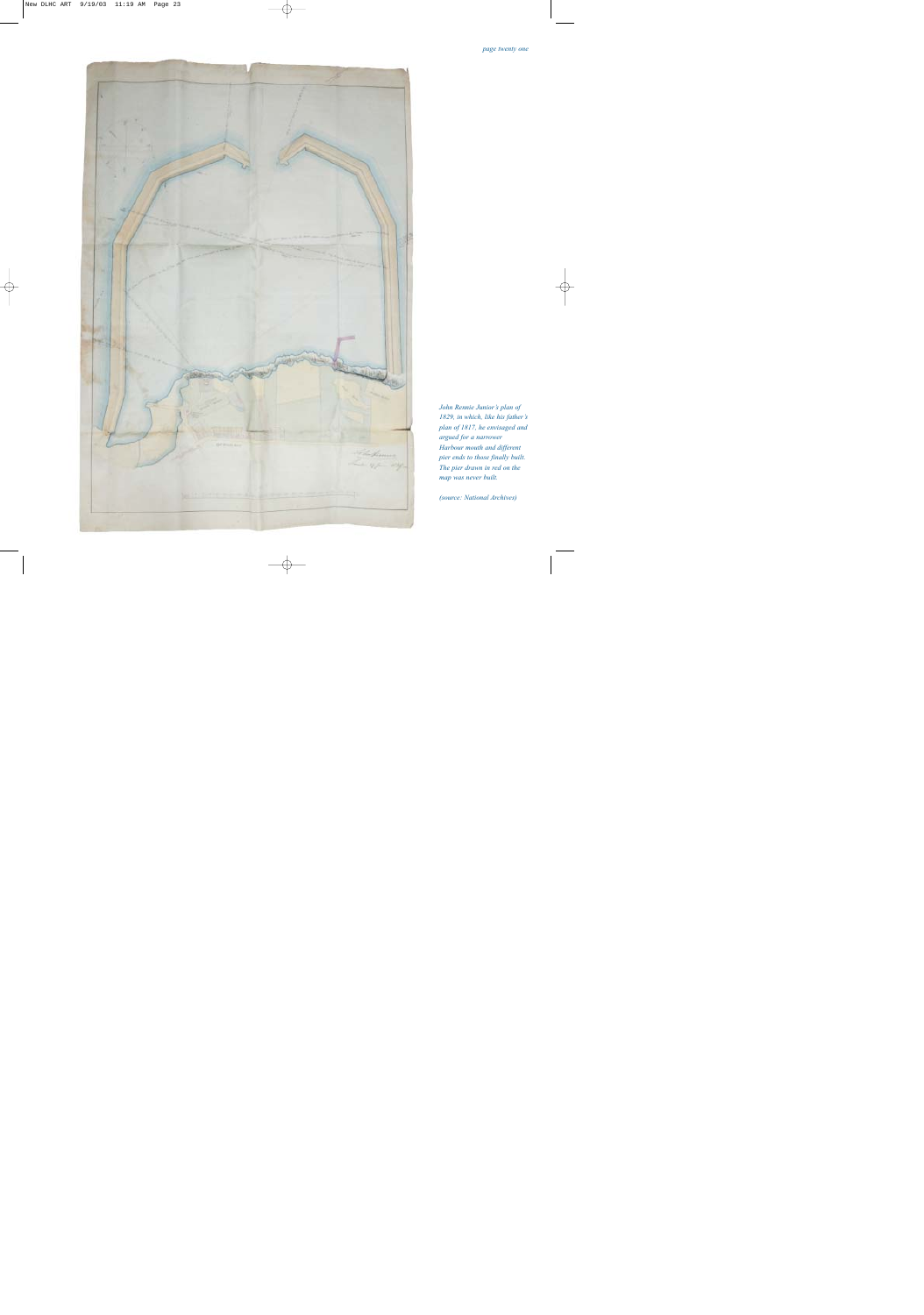

*John Rennie Junior's plan of 1829, in which, like his father's plan of 1817, he envisaged and argued for a narrower Harbour mouth and different pier ends to those finally built. The pier drawn in red on the map was never built.*